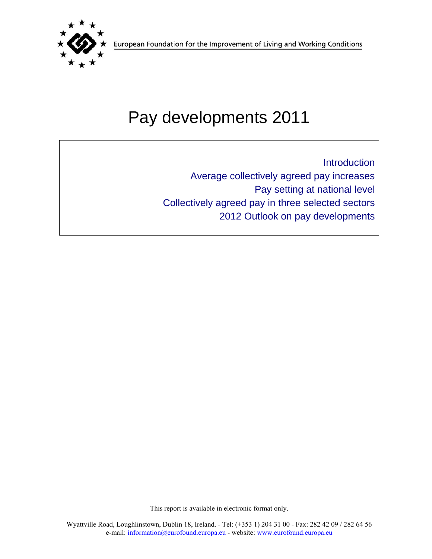

European Foundation for the Improvement of Living and Working Conditions

# Pay developments 2011

Introduction Average collectively agreed pay increases Pay setting at national level Collectively agreed pay in three selected sectors 2012 Outlook on pay developments

This report is available in electronic format only.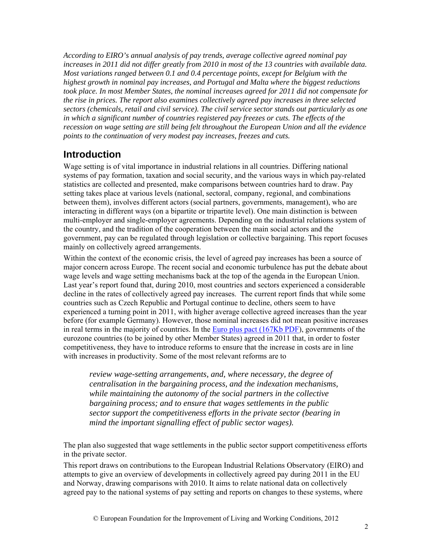*According to EIRO's annual analysis of pay trends, average collective agreed nominal pay increases in 2011 did not differ greatly from 2010 in most of the 13 countries with available data. Most variations ranged between 0.1 and 0.4 percentage points, except for Belgium with the highest growth in nominal pay increases, and Portugal and Malta where the biggest reductions took place. In most Member States, the nominal increases agreed for 2011 did not compensate for the rise in prices. The report also examines collectively agreed pay increases in three selected sectors (chemicals, retail and civil service). The civil service sector stands out particularly as one in which a significant number of countries registered pay freezes or cuts. The effects of the recession on wage setting are still being felt throughout the European Union and all the evidence points to the continuation of very modest pay increases, freezes and cuts.* 

# **Introduction**

Wage setting is of vital importance in industrial relations in all countries. Differing national systems of pay formation, taxation and social security, and the various ways in which pay-related statistics are collected and presented, make comparisons between countries hard to draw. Pay setting takes place at various levels (national, sectoral, company, regional, and combinations between them), involves different actors (social partners, governments, management), who are interacting in different ways (on a bipartite or tripartite level). One main distinction is between multi-employer and single-employer agreements. Depending on the industrial relations system of the country, and the tradition of the cooperation between the main social actors and the government, pay can be regulated through legislation or collective bargaining. This report focuses mainly on collectively agreed arrangements.

Within the context of the economic crisis, the level of agreed pay increases has been a source of major concern across Europe. The recent social and economic turbulence has put the debate about wage levels and wage setting mechanisms back at the top of the agenda in the European Union. Last year's report found that, during 2010, most countries and sectors experienced a considerable decline in the rates of collectively agreed pay increases. The current report finds that while some countries such as Czech Republic and Portugal continue to decline, others seem to have experienced a turning point in 2011, with higher average collective agreed increases than the year before (for example Germany). However, those nominal increases did not mean positive increases in real terms in the majority of countries. In the Euro plus pact (167Kb PDF), governments of the eurozone countries (to be joined by other Member States) agreed in 2011 that, in order to foster competitiveness, they have to introduce reforms to ensure that the increase in costs are in line with increases in productivity. Some of the most relevant reforms are to

*review wage-setting arrangements, and, where necessary, the degree of centralisation in the bargaining process, and the indexation mechanisms, while maintaining the autonomy of the social partners in the collective bargaining process; and to ensure that wages settlements in the public sector support the competitiveness efforts in the private sector (bearing in mind the important signalling effect of public sector wages).* 

The plan also suggested that wage settlements in the public sector support competitiveness efforts in the private sector.

This report draws on contributions to the European Industrial Relations Observatory (EIRO) and attempts to give an overview of developments in collectively agreed pay during 2011 in the EU and Norway, drawing comparisons with 2010. It aims to relate national data on collectively agreed pay to the national systems of pay setting and reports on changes to these systems, where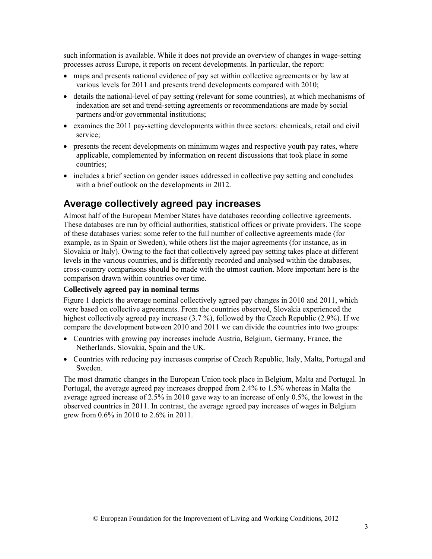such information is available. While it does not provide an overview of changes in wage-setting processes across Europe, it reports on recent developments. In particular, the report:

- maps and presents national evidence of pay set within collective agreements or by law at various levels for 2011 and presents trend developments compared with 2010;
- details the national-level of pay setting (relevant for some countries), at which mechanisms of indexation are set and trend-setting agreements or recommendations are made by social partners and/or governmental institutions;
- examines the 2011 pay-setting developments within three sectors: chemicals, retail and civil service;
- presents the recent developments on minimum wages and respective youth pay rates, where applicable, complemented by information on recent discussions that took place in some countries;
- includes a brief section on gender issues addressed in collective pay setting and concludes with a brief outlook on the developments in 2012.

## **Average collectively agreed pay increases**

Almost half of the European Member States have databases recording collective agreements. These databases are run by official authorities, statistical offices or private providers. The scope of these databases varies: some refer to the full number of collective agreements made (for example, as in Spain or Sweden), while others list the major agreements (for instance, as in Slovakia or Italy). Owing to the fact that collectively agreed pay setting takes place at different levels in the various countries, and is differently recorded and analysed within the databases, cross-country comparisons should be made with the utmost caution. More important here is the comparison drawn within countries over time.

#### **Collectively agreed pay in nominal terms**

Figure 1 depicts the average nominal collectively agreed pay changes in 2010 and 2011, which were based on collective agreements. From the countries observed, Slovakia experienced the highest collectively agreed pay increase (3.7 %), followed by the Czech Republic (2.9%). If we compare the development between 2010 and 2011 we can divide the countries into two groups:

- Countries with growing pay increases include Austria, Belgium, Germany, France, the Netherlands, Slovakia, Spain and the UK.
- Countries with reducing pay increases comprise of Czech Republic, Italy, Malta, Portugal and Sweden.

The most dramatic changes in the European Union took place in Belgium, Malta and Portugal. In Portugal, the average agreed pay increases dropped from 2.4% to 1.5% whereas in Malta the average agreed increase of 2.5% in 2010 gave way to an increase of only 0.5%, the lowest in the observed countries in 2011. In contrast, the average agreed pay increases of wages in Belgium grew from 0.6% in 2010 to 2.6% in 2011.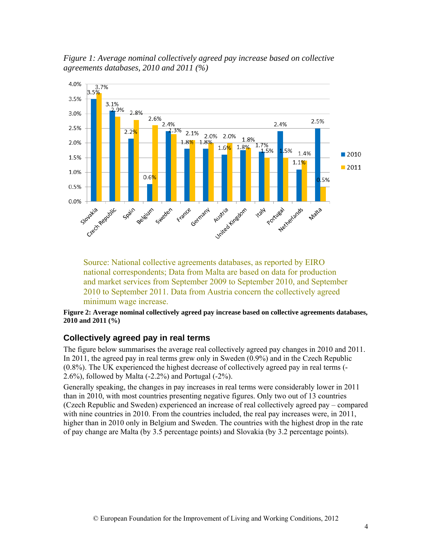*Figure 1: Average nominal collectively agreed pay increase based on collective agreements databases, 2010 and 2011 (%)* 



Source: National collective agreements databases, as reported by EIRO national correspondents; Data from Malta are based on data for production and market services from September 2009 to September 2010, and September 2010 to September 2011. Data from Austria concern the collectively agreed minimum wage increase.

**Figure 2: Average nominal collectively agreed pay increase based on collective agreements databases, 2010 and 2011 (%)**

#### **Collectively agreed pay in real terms**

The figure below summarises the average real collectively agreed pay changes in 2010 and 2011. In 2011, the agreed pay in real terms grew only in Sweden (0.9%) and in the Czech Republic (0.8%). The UK experienced the highest decrease of collectively agreed pay in real terms (- 2.6%), followed by Malta (-2.2%) and Portugal (-2%).

Generally speaking, the changes in pay increases in real terms were considerably lower in 2011 than in 2010, with most countries presenting negative figures. Only two out of 13 countries (Czech Republic and Sweden) experienced an increase of real collectively agreed pay – compared with nine countries in 2010. From the countries included, the real pay increases were, in 2011, higher than in 2010 only in Belgium and Sweden. The countries with the highest drop in the rate of pay change are Malta (by 3.5 percentage points) and Slovakia (by 3.2 percentage points).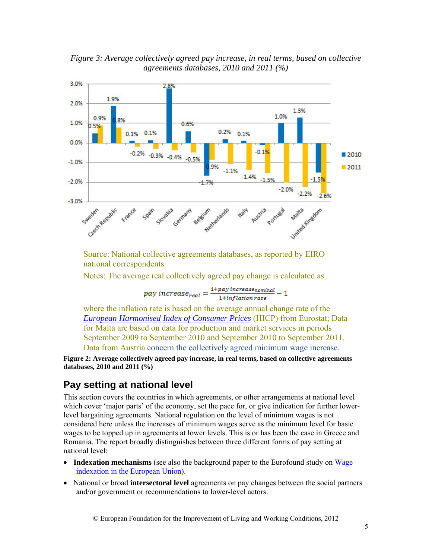*Figure 3: Average collectively agreed pay increase, in real terms, based on collective agreements databases, 2010 and 2011 (%)* 



Source: National collective agreements databases, as reported by EIRO national correspondents

Notes: The average real collectively agreed pay change is calculated as

$$
pay\ increase_{real}=\frac{1+pay\ increases_{nominal}}{1+inflation\ rate}-1
$$

where the inflation rate is based on the average annual change rate of the *European Harmonised Index of Consumer Prices* (HICP) from Eurostat; Data for Malta are based on data for production and market services in periods September 2009 to September 2010 and September 2010 to September 2011. Data from Austria concern the collectively agreed minimum wage increase.

**Figure 2: Average collectively agreed pay increase, in real terms, based on collective agreements databases, 2010 and 2011 (%)** 

## **Pay setting at national level**

This section covers the countries in which agreements, or other arrangements at national level which cover 'major parts' of the economy, set the pace for, or give indication for further lowerlevel bargaining agreements. National regulation on the level of minimum wages is not considered here unless the increases of minimum wages serve as the minimum level for basic wages to be topped up in agreements at lower levels. This is or has been the case in Greece and Romania. The report broadly distinguishes between three different forms of pay setting at national level:

- **Indexation mechanisms** (see also the background paper to the Eurofound study on Wage indexation in the European Union).
- National or broad **intersectoral level** agreements on pay changes between the social partners and/or government or recommendations to lower-level actors.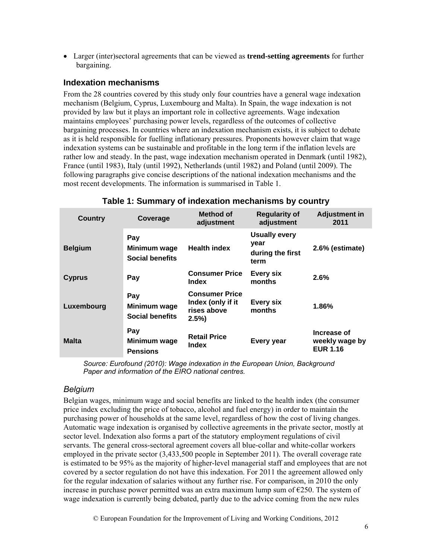• Larger (inter)sectoral agreements that can be viewed as **trend-setting agreements** for further bargaining.

#### **Indexation mechanisms**

From the 28 countries covered by this study only four countries have a general wage indexation mechanism (Belgium, Cyprus, Luxembourg and Malta). In Spain, the wage indexation is not provided by law but it plays an important role in collective agreements. Wage indexation maintains employees' purchasing power levels, regardless of the outcomes of collective bargaining processes. In countries where an indexation mechanism exists, it is subject to debate as it is held responsible for fuelling inflationary pressures. Proponents however claim that wage indexation systems can be sustainable and profitable in the long term if the inflation levels are rather low and steady. In the past, wage indexation mechanism operated in Denmark (until 1982), France (until 1983), Italy (until 1992), Netherlands (until 1982) and Poland (until 2009). The following paragraphs give concise descriptions of the national indexation mechanisms and the most recent developments. The information is summarised in Table 1.

| <b>Country</b> | Coverage                                      | Method of<br>adjustment                                              | <b>Regularity of</b><br>adjustment                       | <b>Adjustment in</b><br>2011                     |
|----------------|-----------------------------------------------|----------------------------------------------------------------------|----------------------------------------------------------|--------------------------------------------------|
| <b>Belgium</b> | Pay<br>Minimum wage<br><b>Social benefits</b> | <b>Health index</b>                                                  | <b>Usually every</b><br>year<br>during the first<br>term | 2.6% (estimate)                                  |
| <b>Cyprus</b>  | Pay                                           | <b>Consumer Price</b><br>Index                                       | Every six<br>months                                      | 2.6%                                             |
| Luxembourg     | Pay<br>Minimum wage<br><b>Social benefits</b> | <b>Consumer Price</b><br>Index (only if it<br>rises above<br>$2.5\%$ | Every six<br>months                                      | 1.86%                                            |
| <b>Malta</b>   | Pay<br>Minimum wage<br><b>Pensions</b>        | <b>Retail Price</b><br><b>Index</b>                                  | Every year                                               | Increase of<br>weekly wage by<br><b>EUR 1.16</b> |

#### **Table 1: Summary of indexation mechanisms by country**

*Source: Eurofound (2010): Wage indexation in the European Union, Background Paper and information of the EIRO national centres.* 

#### *Belgium*

Belgian wages, minimum wage and social benefits are linked to the health index (the consumer price index excluding the price of tobacco, alcohol and fuel energy) in order to maintain the purchasing power of households at the same level, regardless of how the cost of living changes. Automatic wage indexation is organised by collective agreements in the private sector, mostly at sector level. Indexation also forms a part of the statutory employment regulations of civil servants. The general cross-sectoral agreement covers all blue-collar and white-collar workers employed in the private sector (3,433,500 people in September 2011). The overall coverage rate is estimated to be 95% as the majority of higher-level managerial staff and employees that are not covered by a sector regulation do not have this indexation. For 2011 the agreement allowed only for the regular indexation of salaries without any further rise. For comparison, in 2010 the only increase in purchase power permitted was an extra maximum lump sum of  $E$ 250. The system of wage indexation is currently being debated, partly due to the advice coming from the new rules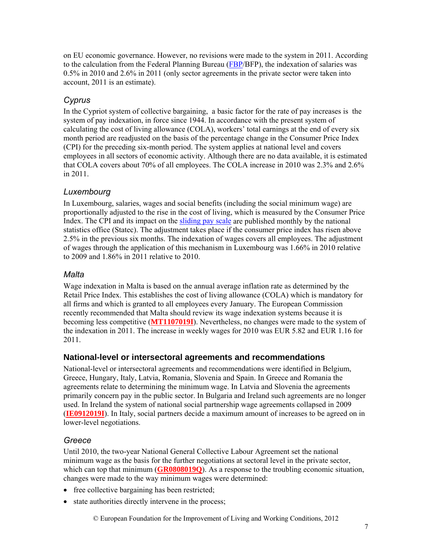on EU economic governance. However, no revisions were made to the system in 2011. According to the calculation from the Federal Planning Bureau (FBP/BFP), the indexation of salaries was 0.5% in 2010 and 2.6% in 2011 (only sector agreements in the private sector were taken into account, 2011 is an estimate).

## *Cyprus*

In the Cypriot system of collective bargaining, a basic factor for the rate of pay increases is the system of pay indexation, in force since 1944. In accordance with the present system of calculating the cost of living allowance (COLA), workers' total earnings at the end of every six month period are readjusted on the basis of the percentage change in the Consumer Price Index (CPI) for the preceding six-month period. The system applies at national level and covers employees in all sectors of economic activity. Although there are no data available, it is estimated that COLA covers about 70% of all employees. The COLA increase in 2010 was 2.3% and 2.6% in 2011.

## *Luxembourg*

In Luxembourg, salaries, wages and social benefits (including the social minimum wage) are proportionally adjusted to the rise in the cost of living, which is measured by the Consumer Price Index. The CPI and its impact on the sliding pay scale are published monthly by the national statistics office (Statec). The adjustment takes place if the consumer price index has risen above 2.5% in the previous six months. The indexation of wages covers all employees. The adjustment of wages through the application of this mechanism in Luxembourg was 1.66% in 2010 relative to 2009 and 1.86% in 2011 relative to 2010.

## *Malta*

Wage indexation in Malta is based on the annual average inflation rate as determined by the Retail Price Index. This establishes the cost of living allowance (COLA) which is mandatory for all firms and which is granted to all employees every January. The European Commission recently recommended that Malta should review its wage indexation systems because it is becoming less competitive (**MT1107019I**). Nevertheless, no changes were made to the system of the indexation in 2011. The increase in weekly wages for 2010 was EUR 5.82 and EUR 1.16 for 2011.

## **National-level or intersectoral agreements and recommendations**

National-level or intersectoral agreements and recommendations were identified in Belgium, Greece, Hungary, Italy, Latvia, Romania, Slovenia and Spain. In Greece and Romania the agreements relate to determining the minimum wage. In Latvia and Slovenia the agreements primarily concern pay in the public sector. In Bulgaria and Ireland such agreements are no longer used. In Ireland the system of national social partnership wage agreements collapsed in 2009 (**IE0912019I**). In Italy, social partners decide a maximum amount of increases to be agreed on in lower-level negotiations.

## *Greece*

Until 2010, the two-year National General Collective Labour Agreement set the national minimum wage as the basis for the further negotiations at sectoral level in the private sector, which can top that minimum (**GR0808019Q**). As a response to the troubling economic situation, changes were made to the way minimum wages were determined:

- free collective bargaining has been restricted;
- state authorities directly intervene in the process;

© European Foundation for the Improvement of Living and Working Conditions, 2012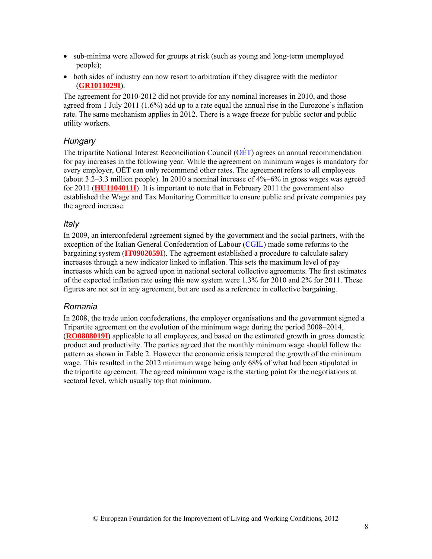- sub-minima were allowed for groups at risk (such as young and long-term unemployed people);
- both sides of industry can now resort to arbitration if they disagree with the mediator (**GR1011029I**).

The agreement for 2010-2012 did not provide for any nominal increases in 2010, and those agreed from 1 July 2011 (1.6%) add up to a rate equal the annual rise in the Eurozone's inflation rate. The same mechanism applies in 2012. There is a wage freeze for public sector and public utility workers.

#### *Hungary*

The tripartite National Interest Reconciliation Council (OÉT) agrees an annual recommendation for pay increases in the following year. While the agreement on minimum wages is mandatory for every employer, OÉT can only recommend other rates. The agreement refers to all employees (about 3.2–3.3 million people). In 2010 a nominal increase of 4%–6% in gross wages was agreed for 2011 (**HU1104011I**). It is important to note that in February 2011 the government also established the Wage and Tax Monitoring Committee to ensure public and private companies pay the agreed increase.

#### *Italy*

In 2009, an interconfederal agreement signed by the government and the social partners, with the exception of the Italian General Confederation of Labour (CGIL) made some reforms to the bargaining system (**IT0902059I**). The agreement established a procedure to calculate salary increases through a new indicator linked to inflation. This sets the maximum level of pay increases which can be agreed upon in national sectoral collective agreements. The first estimates of the expected inflation rate using this new system were 1.3% for 2010 and 2% for 2011. These figures are not set in any agreement, but are used as a reference in collective bargaining.

#### *Romania*

In 2008, the trade union confederations, the employer organisations and the government signed a Tripartite agreement on the evolution of the minimum wage during the period 2008–2014, (**RO0808019I**) applicable to all employees, and based on the estimated growth in gross domestic product and productivity. The parties agreed that the monthly minimum wage should follow the pattern as shown in Table 2. However the economic crisis tempered the growth of the minimum wage. This resulted in the 2012 minimum wage being only 68% of what had been stipulated in the tripartite agreement. The agreed minimum wage is the starting point for the negotiations at sectoral level, which usually top that minimum.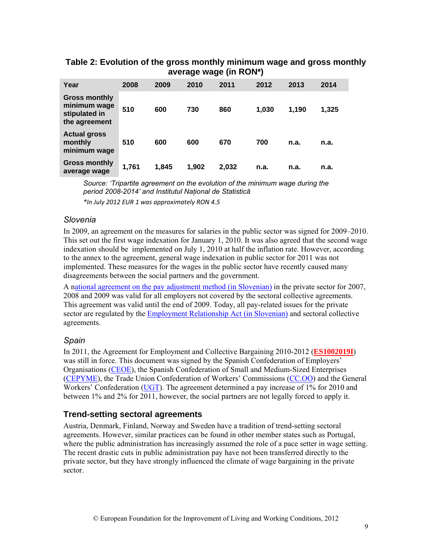#### **Table 2: Evolution of the gross monthly minimum wage and gross monthly average wage (in RON\*)**

| Year                                                                   | 2008  | 2009  | 2010  | 2011  | 2012  | 2013  | 2014  |
|------------------------------------------------------------------------|-------|-------|-------|-------|-------|-------|-------|
| <b>Gross monthly</b><br>minimum wage<br>stipulated in<br>the agreement | 510   | 600   | 730   | 860   | 1,030 | 1,190 | 1,325 |
| <b>Actual gross</b><br>monthly<br>minimum wage                         | 510   | 600   | 600   | 670   | 700   | n.a.  | n.a.  |
| <b>Gross monthly</b><br>average wage                                   | 1,761 | 1.845 | 1.902 | 2,032 | n.a.  | n.a.  | n.a.  |

*Source: 'Tripartite agreement on the evolution of the minimum wage during the period 2008-2014' and Institutul Naţional de Statistică*

*\*In July 2012 EUR 1 was approximately RON 4.5*

#### *Slovenia*

In 2009, an agreement on the measures for salaries in the public sector was signed for 2009–2010. This set out the first wage indexation for January 1, 2010. It was also agreed that the second wage indexation should be implemented on July 1, 2010 at half the inflation rate. However, according to the annex to the agreement, general wage indexation in public sector for 2011 was not implemented. These measures for the wages in the public sector have recently caused many disagreements between the social partners and the government.

A national agreement on the pay adjustment method (in Slovenian) in the private sector for 2007, 2008 and 2009 was valid for all employers not covered by the sectoral collective agreements. This agreement was valid until the end of 2009. Today, all pay-related issues for the private sector are regulated by the **Employment Relationship Act (in Slovenian)** and sectoral collective agreements.

#### *Spain*

In 2011, the Agreement for Employment and Collective Bargaining 2010-2012 (**ES1002019I**) was still in force. This document was signed by the Spanish Confederation of Employers' Organisations (CEOE), the Spanish Confederation of Small and Medium-Sized Enterprises (CEPYME), the Trade Union Confederation of Workers' Commissions (CC.OO) and the General Workers' Confederation (UGT). The agreement determined a pay increase of 1% for 2010 and between 1% and 2% for 2011, however, the social partners are not legally forced to apply it.

#### **Trend-setting sectoral agreements**

Austria, Denmark, Finland, Norway and Sweden have a tradition of trend-setting sectoral agreements. However, similar practices can be found in other member states such as Portugal, where the public administration has increasingly assumed the role of a pace setter in wage setting. The recent drastic cuts in public administration pay have not been transferred directly to the private sector, but they have strongly influenced the climate of wage bargaining in the private sector.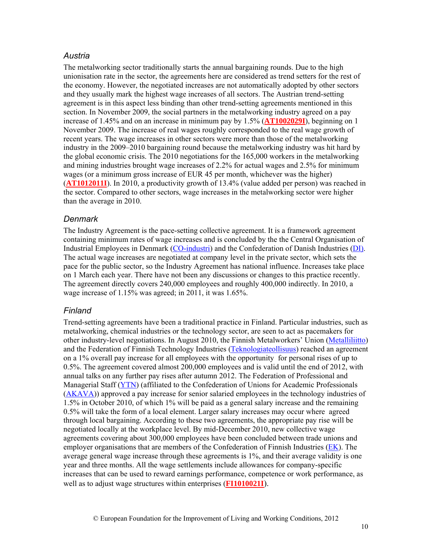#### *Austria*

The metalworking sector traditionally starts the annual bargaining rounds. Due to the high unionisation rate in the sector, the agreements here are considered as trend setters for the rest of the economy. However, the negotiated increases are not automatically adopted by other sectors and they usually mark the highest wage increases of all sectors. The Austrian trend-setting agreement is in this aspect less binding than other trend-setting agreements mentioned in this section. In November 2009, the social partners in the metalworking industry agreed on a pay increase of 1.45% and on an increase in minimum pay by 1.5% (**AT1002029I**), beginning on 1 November 2009. The increase of real wages roughly corresponded to the real wage growth of recent years. The wage increases in other sectors were more than those of the metalworking industry in the 2009–2010 bargaining round because the metalworking industry was hit hard by the global economic crisis. The 2010 negotiations for the 165,000 workers in the metalworking and mining industries brought wage increases of 2.2% for actual wages and 2.5% for minimum wages (or a minimum gross increase of EUR 45 per month, whichever was the higher) (**AT1012011I**). In 2010, a productivity growth of 13.4% (value added per person) was reached in the sector. Compared to other sectors, wage increases in the metalworking sector were higher than the average in 2010.

#### *Denmark*

The Industry Agreement is the pace-setting collective agreement. It is a framework agreement containing minimum rates of wage increases and is concluded by the the Central Organisation of Industrial Employees in Denmark (CO-industri) and the Confederation of Danish Industries (DI). The actual wage increases are negotiated at company level in the private sector, which sets the pace for the public sector, so the Industry Agreement has national influence. Increases take place on 1 March each year. There have not been any discussions or changes to this practice recently. The agreement directly covers 240,000 employees and roughly 400,000 indirectly. In 2010, a wage increase of 1.15% was agreed; in 2011, it was 1.65%.

#### *Finland*

Trend-setting agreements have been a traditional practice in Finland. Particular industries, such as metalworking, chemical industries or the technology sector, are seen to act as pacemakers for other industry-level negotiations. In August 2010, the Finnish Metalworkers' Union (Metalliliitto) and the Federation of Finnish Technology Industries (Teknologiateollisuus) reached an agreement on a 1% overall pay increase for all employees with the opportunity for personal rises of up to 0.5%. The agreement covered almost 200,000 employees and is valid until the end of 2012, with annual talks on any further pay rises after autumn 2012. The Federation of Professional and Managerial Staff (YTN) (affiliated to the Confederation of Unions for Academic Professionals (AKAVA)) approved a pay increase for senior salaried employees in the technology industries of 1.5% in October 2010, of which 1% will be paid as a general salary increase and the remaining 0.5% will take the form of a local element. Larger salary increases may occur where agreed through local bargaining. According to these two agreements, the appropriate pay rise will be negotiated locally at the workplace level. By mid-December 2010, new collective wage agreements covering about 300,000 employees have been concluded between trade unions and employer organisations that are members of the Confederation of Finnish Industries (EK). The average general wage increase through these agreements is 1%, and their average validity is one year and three months. All the wage settlements include allowances for company-specific increases that can be used to reward earnings performance, competence or work performance, as well as to adjust wage structures within enterprises (**FI1010021I**).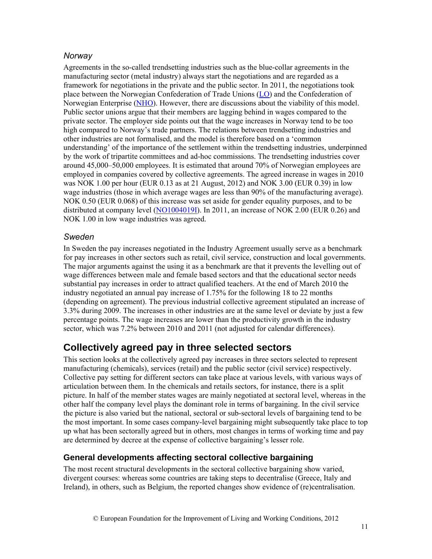### *Norway*

Agreements in the so-called trendsetting industries such as the blue-collar agreements in the manufacturing sector (metal industry) always start the negotiations and are regarded as a framework for negotiations in the private and the public sector. In 2011, the negotiations took place between the Norwegian Confederation of Trade Unions (LO) and the Confederation of Norwegian Enterprise (NHO). However, there are discussions about the viability of this model. Public sector unions argue that their members are lagging behind in wages compared to the private sector. The employer side points out that the wage increases in Norway tend to be too high compared to Norway's trade partners. The relations between trendsetting industries and other industries are not formalised, and the model is therefore based on a 'common understanding' of the importance of the settlement within the trendsetting industries, underpinned by the work of tripartite committees and ad-hoc commissions. The trendsetting industries cover around 45,000–50,000 employees. It is estimated that around 70% of Norwegian employees are employed in companies covered by collective agreements. The agreed increase in wages in 2010 was NOK 1.00 per hour (EUR 0.13 as at 21 August, 2012) and NOK 3.00 (EUR 0.39) in low wage industries (those in which average wages are less than 90% of the manufacturing average). NOK 0.50 (EUR 0.068) of this increase was set aside for gender equality purposes, and to be distributed at company level (NO1004019I). In 2011, an increase of NOK 2.00 (EUR 0.26) and NOK 1.00 in low wage industries was agreed.

#### *Sweden*

In Sweden the pay increases negotiated in the Industry Agreement usually serve as a benchmark for pay increases in other sectors such as retail, civil service, construction and local governments. The major arguments against the using it as a benchmark are that it prevents the levelling out of wage differences between male and female based sectors and that the educational sector needs substantial pay increases in order to attract qualified teachers. At the end of March 2010 the industry negotiated an annual pay increase of 1.75% for the following 18 to 22 months (depending on agreement). The previous industrial collective agreement stipulated an increase of 3.3% during 2009. The increases in other industries are at the same level or deviate by just a few percentage points. The wage increases are lower than the productivity growth in the industry sector, which was 7.2% between 2010 and 2011 (not adjusted for calendar differences).

# **Collectively agreed pay in three selected sectors**

This section looks at the collectively agreed pay increases in three sectors selected to represent manufacturing (chemicals), services (retail) and the public sector (civil service) respectively. Collective pay setting for different sectors can take place at various levels, with various ways of articulation between them. In the chemicals and retails sectors, for instance, there is a split picture. In half of the member states wages are mainly negotiated at sectoral level, whereas in the other half the company level plays the dominant role in terms of bargaining. In the civil service the picture is also varied but the national, sectoral or sub-sectoral levels of bargaining tend to be the most important. In some cases company-level bargaining might subsequently take place to top up what has been sectorally agreed but in others, most changes in terms of working time and pay are determined by decree at the expense of collective bargaining's lesser role.

## **General developments affecting sectoral collective bargaining**

The most recent structural developments in the sectoral collective bargaining show varied, divergent courses: whereas some countries are taking steps to decentralise (Greece, Italy and Ireland), in others, such as Belgium, the reported changes show evidence of (re)centralisation.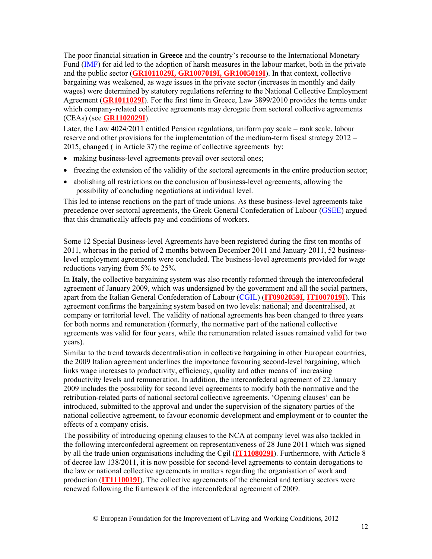The poor financial situation in **Greece** and the country's recourse to the International Monetary Fund (IMF) for aid led to the adoption of harsh measures in the labour market, both in the private and the public sector (**GR1011029I, GR1007019I, GR1005019I**). In that context, collective bargaining was weakened, as wage issues in the private sector (increases in monthly and daily wages) were determined by statutory regulations referring to the National Collective Employment Agreement (**GR1011029I**). For the first time in Greece, Law 3899/2010 provides the terms under which company-related collective agreements may derogate from sectoral collective agreements (CEAs) (see **GR1102029I**).

Later, the Law 4024/2011 entitled Pension regulations, uniform pay scale – rank scale, labour reserve and other provisions for the implementation of the medium-term fiscal strategy 2012 – 2015, changed ( in Article 37) the regime of collective agreements by:

- making business-level agreements prevail over sectoral ones;
- freezing the extension of the validity of the sectoral agreements in the entire production sector;
- abolishing all restrictions on the conclusion of business-level agreements, allowing the possibility of concluding negotiations at individual level.

This led to intense reactions on the part of trade unions. As these business-level agreements take precedence over sectoral agreements, the Greek General Confederation of Labour (GSEE) argued that this dramatically affects pay and conditions of workers.

Some 12 Special Business-level Agreements have been registered during the first ten months of 2011, whereas in the period of 2 months between December 2011 and January 2011, 52 businesslevel employment agreements were concluded. The business-level agreements provided for wage reductions varying from 5% to 25%.

In **Italy**, the collective bargaining system was also recently reformed through the interconfederal agreement of January 2009, which was undersigned by the government and all the social partners, apart from the Italian General Confederation of Labour (CGIL) (**IT0902059I**, **IT1007019I**). This agreement confirms the bargaining system based on two levels: national; and decentralised, at company or territorial level. The validity of national agreements has been changed to three years for both norms and remuneration (formerly, the normative part of the national collective agreements was valid for four years, while the remuneration related issues remained valid for two years).

Similar to the trend towards decentralisation in collective bargaining in other European countries, the 2009 Italian agreement underlines the importance favouring second-level bargaining, which links wage increases to productivity, efficiency, quality and other means of increasing productivity levels and remuneration. In addition, the interconfederal agreement of 22 January 2009 includes the possibility for second level agreements to modify both the normative and the retribution-related parts of national sectoral collective agreements. 'Opening clauses' can be introduced, submitted to the approval and under the supervision of the signatory parties of the national collective agreement, to favour economic development and employment or to counter the effects of a company crisis.

The possibility of introducing opening clauses to the NCA at company level was also tackled in the following interconfederal agreement on representativeness of 28 June 2011 which was signed by all the trade union organisations including the Cgil (**IT1108029I**). Furthermore, with Article 8 of decree law 138/2011, it is now possible for second-level agreements to contain derogations to the law or national collective agreements in matters regarding the organisation of work and production (**IT1110019I**). The collective agreements of the chemical and tertiary sectors were renewed following the framework of the interconfederal agreement of 2009.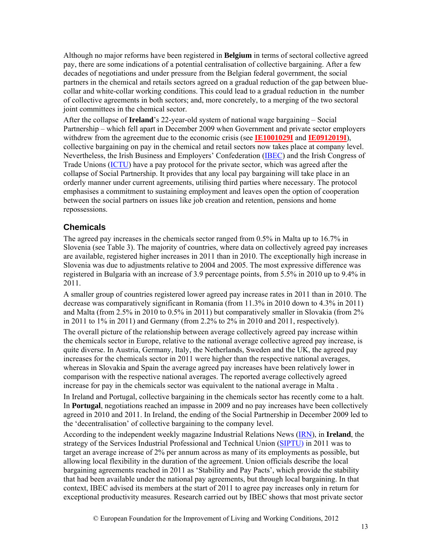Although no major reforms have been registered in **Belgium** in terms of sectoral collective agreed pay, there are some indications of a potential centralisation of collective bargaining. After a few decades of negotiations and under pressure from the Belgian federal government, the social partners in the chemical and retails sectors agreed on a gradual reduction of the gap between bluecollar and white-collar working conditions. This could lead to a gradual reduction in the number of collective agreements in both sectors; and, more concretely, to a merging of the two sectoral joint committees in the chemical sector.

After the collapse of **Ireland**'s 22-year-old system of national wage bargaining – Social Partnership – which fell apart in December 2009 when Government and private sector employers withdrew from the agreement due to the economic crisis (see **IE1001029I** and **IE0912019I**), collective bargaining on pay in the chemical and retail sectors now takes place at company level. Nevertheless, the Irish Business and Employers' Confederation (IBEC) and the Irish Congress of Trade Unions (ICTU) have a pay protocol for the private sector, which was agreed after the collapse of Social Partnership. It provides that any local pay bargaining will take place in an orderly manner under current agreements, utilising third parties where necessary. The protocol emphasises a commitment to sustaining employment and leaves open the option of cooperation between the social partners on issues like job creation and retention, pensions and home repossessions.

## **Chemicals**

The agreed pay increases in the chemicals sector ranged from 0.5% in Malta up to 16.7% in Slovenia (see Table 3). The majority of countries, where data on collectively agreed pay increases are available, registered higher increases in 2011 than in 2010. The exceptionally high increase in Slovenia was due to adjustments relative to 2004 and 2005. The most expressive difference was registered in Bulgaria with an increase of 3.9 percentage points, from 5.5% in 2010 up to 9.4% in 2011.

A smaller group of countries registered lower agreed pay increase rates in 2011 than in 2010. The decrease was comparatively significant in Romania (from 11.3% in 2010 down to 4.3% in 2011) and Malta (from 2.5% in 2010 to 0.5% in 2011) but comparatively smaller in Slovakia (from 2% in 2011 to 1% in 2011) and Germany (from 2.2% to 2% in 2010 and 2011, respectively).

The overall picture of the relationship between average collectively agreed pay increase within the chemicals sector in Europe, relative to the national average collective agreed pay increase, is quite diverse. In Austria, Germany, Italy, the Netherlands, Sweden and the UK, the agreed pay increases for the chemicals sector in 2011 were higher than the respective national averages, whereas in Slovakia and Spain the average agreed pay increases have been relatively lower in comparison with the respective national averages. The reported average collectively agreed increase for pay in the chemicals sector was equivalent to the national average in Malta .

In Ireland and Portugal, collective bargaining in the chemicals sector has recently come to a halt. In **Portugal**, negotiations reached an impasse in 2009 and no pay increases have been collectively agreed in 2010 and 2011. In Ireland, the ending of the Social Partnership in December 2009 led to the 'decentralisation' of collective bargaining to the company level.

According to the independent weekly magazine Industrial Relations News (IRN), in **Ireland**, the strategy of the Services Industrial Professional and Technical Union (SIPTU) in 2011 was to target an average increase of 2% per annum across as many of its employments as possible, but allowing local flexibility in the duration of the agreement. Union officials describe the local bargaining agreements reached in 2011 as 'Stability and Pay Pacts', which provide the stability that had been available under the national pay agreements, but through local bargaining. In that context, IBEC advised its members at the start of 2011 to agree pay increases only in return for exceptional productivity measures. Research carried out by IBEC shows that most private sector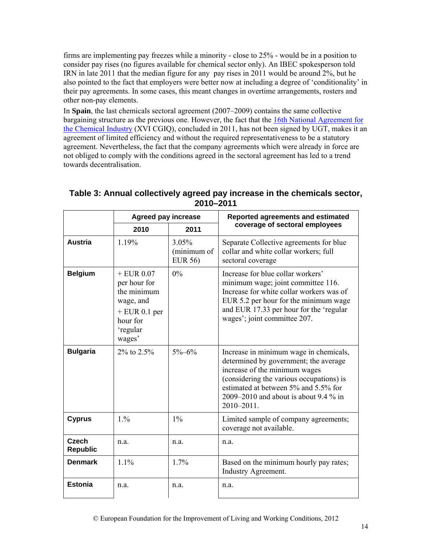firms are implementing pay freezes while a minority - close to 25% - would be in a position to consider pay rises (no figures available for chemical sector only). An IBEC spokesperson told IRN in late 2011 that the median figure for any pay rises in 2011 would be around 2%, but he also pointed to the fact that employers were better now at including a degree of 'conditionality' in their pay agreements. In some cases, this meant changes in overtime arrangements, rosters and other non-pay elements.

In **Spain**, the last chemicals sectoral agreement (2007–2009) contains the same collective bargaining structure as the previous one. However, the fact that the 16th National Agreement for the Chemical Industry (XVI CGIQ), concluded in 2011, has not been signed by UGT, makes it an agreement of limited efficiency and without the required representativeness to be a statutory agreement. Nevertheless, the fact that the company agreements which were already in force are not obliged to comply with the conditions agreed in the sectoral agreement has led to a trend towards decentralisation.

|                                 | <b>Agreed pay increase</b>                                                                                    |                                        | Reported agreements and estimated                                                                                                                                                                                                                              |  |
|---------------------------------|---------------------------------------------------------------------------------------------------------------|----------------------------------------|----------------------------------------------------------------------------------------------------------------------------------------------------------------------------------------------------------------------------------------------------------------|--|
|                                 | 2010                                                                                                          | 2011                                   | coverage of sectoral employees                                                                                                                                                                                                                                 |  |
| <b>Austria</b>                  | 1.19%                                                                                                         | 3.05%<br>(minimum of<br><b>EUR 56)</b> | Separate Collective agreements for blue<br>collar and white collar workers; full<br>sectoral coverage                                                                                                                                                          |  |
| <b>Belgium</b>                  | $+$ EUR 0.07<br>per hour for<br>the minimum<br>wage, and<br>$+$ EUR 0.1 per<br>hour for<br>'regular<br>wages' | $0\%$                                  | Increase for blue collar workers'<br>minimum wage; joint committee 116.<br>Increase for white collar workers was of<br>EUR 5.2 per hour for the minimum wage<br>and EUR 17.33 per hour for the 'regular<br>wages'; joint committee 207.                        |  |
| <b>Bulgaria</b>                 | $2\%$ to $2.5\%$                                                                                              | $5\% - 6\%$                            | Increase in minimum wage in chemicals,<br>determined by government; the average<br>increase of the minimum wages<br>(considering the various occupations) is<br>estimated at between 5% and 5.5% for<br>2009–2010 and about is about 9.4 $\%$ in<br>2010-2011. |  |
| <b>Cyprus</b>                   | 1.96                                                                                                          | $1\%$                                  | Limited sample of company agreements;<br>coverage not available.                                                                                                                                                                                               |  |
| <b>Czech</b><br><b>Republic</b> | n.a.                                                                                                          | n.a.                                   | n.a.                                                                                                                                                                                                                                                           |  |
| <b>Denmark</b>                  | 1.1%                                                                                                          | 1.7%                                   | Based on the minimum hourly pay rates;<br>Industry Agreement.                                                                                                                                                                                                  |  |
| <b>Estonia</b>                  | n.a.                                                                                                          | n.a.                                   | n.a.                                                                                                                                                                                                                                                           |  |

## **Table 3: Annual collectively agreed pay increase in the chemicals sector, 2010–2011**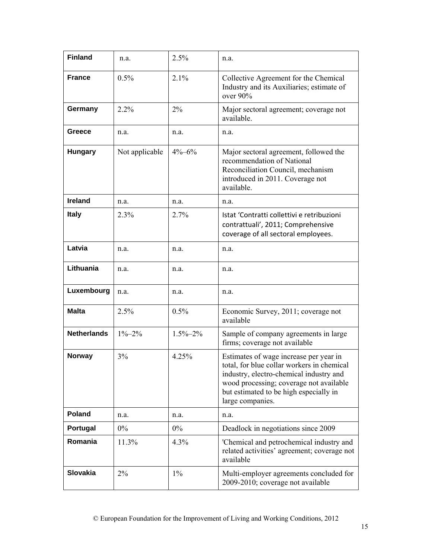| <b>Finland</b>     | n.a.           | 2.5%          | n.a.                                                                                                                                                                                                                                     |
|--------------------|----------------|---------------|------------------------------------------------------------------------------------------------------------------------------------------------------------------------------------------------------------------------------------------|
| <b>France</b>      | 0.5%           | 2.1%          | Collective Agreement for the Chemical<br>Industry and its Auxiliaries; estimate of<br>over 90%                                                                                                                                           |
| Germany            | 2.2%           | 2%            | Major sectoral agreement; coverage not<br>available.                                                                                                                                                                                     |
| Greece             | n.a.           | n.a.          | n.a.                                                                                                                                                                                                                                     |
| <b>Hungary</b>     | Not applicable | $4\% - 6\%$   | Major sectoral agreement, followed the<br>recommendation of National<br>Reconciliation Council, mechanism<br>introduced in 2011. Coverage not<br>available.                                                                              |
| <b>Ireland</b>     | n.a.           | n.a.          | n.a.                                                                                                                                                                                                                                     |
| <b>Italy</b>       | 2.3%           | 2.7%          | Istat 'Contratti collettivi e retribuzioni<br>contrattuali', 2011; Comprehensive<br>coverage of all sectoral employees.                                                                                                                  |
| Latvia             | n.a.           | n.a.          | n.a.                                                                                                                                                                                                                                     |
| Lithuania          | n.a.           | n.a.          | n.a.                                                                                                                                                                                                                                     |
| Luxembourg         | n.a.           | n.a.          | n.a.                                                                                                                                                                                                                                     |
| <b>Malta</b>       | 2.5%           | 0.5%          | Economic Survey, 2011; coverage not<br>available                                                                                                                                                                                         |
| <b>Netherlands</b> | $1\% - 2\%$    | $1.5\% - 2\%$ | Sample of company agreements in large<br>firms; coverage not available                                                                                                                                                                   |
| <b>Norway</b>      | 3%             | 4.25%         | Estimates of wage increase per year in<br>total, for blue collar workers in chemical<br>industry, electro-chemical industry and<br>wood processing; coverage not available<br>but estimated to be high especially in<br>large companies. |
| Poland             | n.a.           | n.a.          | n.a.                                                                                                                                                                                                                                     |
| Portugal           | $0\%$          | $0\%$         | Deadlock in negotiations since 2009                                                                                                                                                                                                      |
| Romania            | 11.3%          | 4.3%          | 'Chemical and petrochemical industry and<br>related activities' agreement; coverage not<br>available                                                                                                                                     |
| <b>Slovakia</b>    | 2%             | $1\%$         | Multi-employer agreements concluded for<br>2009-2010; coverage not available                                                                                                                                                             |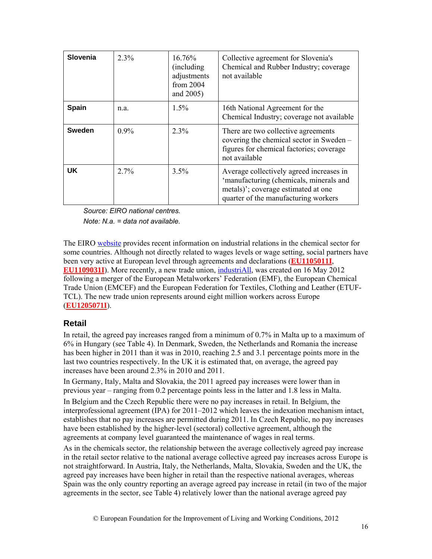| <b>Slovenia</b> | $2.3\%$ | 16.76%<br>(including)<br>adjustments<br>from $2004$<br>and 2005) | Collective agreement for Slovenia's<br>Chemical and Rubber Industry; coverage<br>not available                                                                     |
|-----------------|---------|------------------------------------------------------------------|--------------------------------------------------------------------------------------------------------------------------------------------------------------------|
| <b>Spain</b>    | n.a.    | $1.5\%$                                                          | 16th National Agreement for the<br>Chemical Industry; coverage not available                                                                                       |
| <b>Sweden</b>   | $0.9\%$ | $2.3\%$                                                          | There are two collective agreements<br>covering the chemical sector in Sweden –<br>figures for chemical factories; coverage<br>not available                       |
| <b>UK</b>       | 2.7%    | 3.5%                                                             | Average collectively agreed increases in<br>'manufacturing (chemicals, minerals and<br>metals)'; coverage estimated at one<br>quarter of the manufacturing workers |

*Source: EIRO national centres.* 

*Note: N.a. = data not available.* 

The EIRO website provides recent information on industrial relations in the chemical sector for some countries. Although not directly related to wages levels or wage setting, social partners have been very active at European level through agreements and declarations (**EU1105011I**, **EU1109031I**). More recently, a new trade union, industriAll, was created on 16 May 2012 following a merger of the European Metalworkers' Federation (EMF), the European Chemical Trade Union (EMCEF) and the European Federation for Textiles, Clothing and Leather (ETUF-TCL). The new trade union represents around eight million workers across Europe (**EU1205071I**).

#### **Retail**

In retail, the agreed pay increases ranged from a minimum of 0.7% in Malta up to a maximum of 6% in Hungary (see Table 4). In Denmark, Sweden, the Netherlands and Romania the increase has been higher in 2011 than it was in 2010, reaching 2.5 and 3.1 percentage points more in the last two countries respectively. In the UK it is estimated that, on average, the agreed pay increases have been around 2.3% in 2010 and 2011.

In Germany, Italy, Malta and Slovakia, the 2011 agreed pay increases were lower than in previous year – ranging from 0.2 percentage points less in the latter and 1.8 less in Malta.

In Belgium and the Czech Republic there were no pay increases in retail. In Belgium, the interprofessional agreement (IPA) for 2011–2012 which leaves the indexation mechanism intact, establishes that no pay increases are permitted during 2011. In Czech Republic, no pay increases have been established by the higher-level (sectoral) collective agreement, although the agreements at company level guaranteed the maintenance of wages in real terms.

As in the chemicals sector, the relationship between the average collectively agreed pay increase in the retail sector relative to the national average collective agreed pay increases across Europe is not straightforward. In Austria, Italy, the Netherlands, Malta, Slovakia, Sweden and the UK, the agreed pay increases have been higher in retail than the respective national averages, whereas Spain was the only country reporting an average agreed pay increase in retail (in two of the major agreements in the sector, see Table 4) relatively lower than the national average agreed pay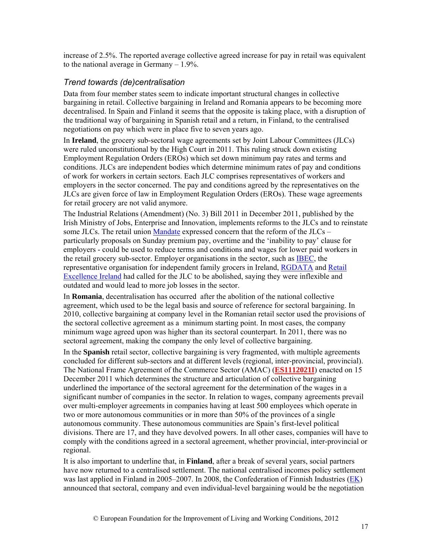increase of 2.5%. The reported average collective agreed increase for pay in retail was equivalent to the national average in Germany  $-1.9\%$ .

#### *Trend towards (de)centralisation*

Data from four member states seem to indicate important structural changes in collective bargaining in retail. Collective bargaining in Ireland and Romania appears to be becoming more decentralised. In Spain and Finland it seems that the opposite is taking place, with a disruption of the traditional way of bargaining in Spanish retail and a return, in Finland, to the centralised negotiations on pay which were in place five to seven years ago.

In **Ireland**, the grocery sub-sectoral wage agreements set by Joint Labour Committees (JLCs) were ruled unconstitutional by the High Court in 2011. This ruling struck down existing Employment Regulation Orders (EROs) which set down minimum pay rates and terms and conditions. JLCs are independent bodies which determine minimum rates of pay and conditions of work for workers in certain sectors. Each JLC comprises representatives of workers and employers in the sector concerned. The pay and conditions agreed by the representatives on the JLCs are given force of law in Employment Regulation Orders (EROs). These wage agreements for retail grocery are not valid anymore.

The Industrial Relations (Amendment) (No. 3) Bill 2011 in December 2011, published by the Irish Ministry of Jobs, Enterprise and Innovation, implements reforms to the JLCs and to reinstate some JLCs. The retail union Mandate expressed concern that the reform of the JLCs – particularly proposals on Sunday premium pay, overtime and the 'inability to pay' clause for employers - could be used to reduce terms and conditions and wages for lower paid workers in the retail grocery sub-sector. Employer organisations in the sector, such as IBEC, the representative organisation for independent family grocers in Ireland, RGDATA and Retail Excellence Ireland had called for the JLC to be abolished, saying they were inflexible and outdated and would lead to more job losses in the sector.

In **Romania**, decentralisation has occurred after the abolition of the national collective agreement, which used to be the legal basis and source of reference for sectoral bargaining. In 2010, collective bargaining at company level in the Romanian retail sector used the provisions of the sectoral collective agreement as a minimum starting point. In most cases, the company minimum wage agreed upon was higher than its sectoral counterpart. In 2011, there was no sectoral agreement, making the company the only level of collective bargaining.

In the **Spanish** retail sector, collective bargaining is very fragmented, with multiple agreements concluded for different sub-sectors and at different levels (regional, inter-provincial, provincial). The National Frame Agreement of the Commerce Sector (AMAC) (**ES1112021I**) enacted on 15 December 2011 which determines the structure and articulation of collective bargaining underlined the importance of the sectoral agreement for the determination of the wages in a significant number of companies in the sector. In relation to wages, company agreements prevail over multi-employer agreements in companies having at least 500 employees which operate in two or more autonomous communities or in more than 50% of the provinces of a single autonomous community. These autonomous communities are Spain's first-level political divisions. There are 17, and they have devolved powers. In all other cases, companies will have to comply with the conditions agreed in a sectoral agreement, whether provincial, inter-provincial or regional.

It is also important to underline that, in **Finland**, after a break of several years, social partners have now returned to a centralised settlement. The national centralised incomes policy settlement was last applied in Finland in 2005–2007. In 2008, the Confederation of Finnish Industries (EK) announced that sectoral, company and even individual-level bargaining would be the negotiation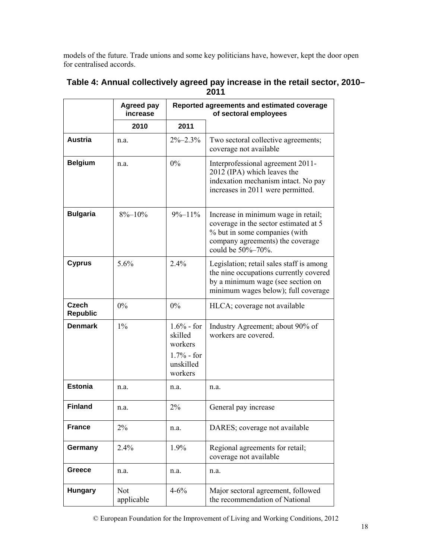models of the future. Trade unions and some key politicians have, however, kept the door open for centralised accords.

|                                 | <b>Agreed pay</b><br>increase |                                                                            | Reported agreements and estimated coverage<br>of sectoral employees                                                                                                    |
|---------------------------------|-------------------------------|----------------------------------------------------------------------------|------------------------------------------------------------------------------------------------------------------------------------------------------------------------|
|                                 | 2010                          | 2011                                                                       |                                                                                                                                                                        |
| <b>Austria</b>                  | n.a.                          | $2\% - 2.3\%$                                                              | Two sectoral collective agreements;<br>coverage not available                                                                                                          |
| <b>Belgium</b>                  | n.a.                          | $0\%$                                                                      | Interprofessional agreement 2011-<br>2012 (IPA) which leaves the<br>indexation mechanism intact. No pay<br>increases in 2011 were permitted.                           |
| <b>Bulgaria</b>                 | $8\% - 10\%$                  | $9\% - 11\%$                                                               | Increase in minimum wage in retail;<br>coverage in the sector estimated at 5<br>% but in some companies (with<br>company agreements) the coverage<br>could be 50%-70%. |
| <b>Cyprus</b>                   | 5.6%                          | 2.4%                                                                       | Legislation; retail sales staff is among<br>the nine occupations currently covered<br>by a minimum wage (see section on<br>minimum wages below); full coverage         |
| <b>Czech</b><br><b>Republic</b> | 0%                            | 0%                                                                         | HLCA; coverage not available                                                                                                                                           |
| <b>Denmark</b>                  | $1\%$                         | $1.6%$ - for<br>skilled<br>workers<br>$1.7%$ - for<br>unskilled<br>workers | Industry Agreement; about 90% of<br>workers are covered.                                                                                                               |
| <b>Estonia</b>                  | n.a.                          | n.a.                                                                       | n.a.                                                                                                                                                                   |
| <b>Finland</b>                  | n.a.                          | 2%                                                                         | General pay increase                                                                                                                                                   |
| <b>France</b>                   | 2%                            | n.a.                                                                       | DARES; coverage not available                                                                                                                                          |
| Germany                         | 2.4%                          | 1.9%                                                                       | Regional agreements for retail;<br>coverage not available                                                                                                              |
| Greece                          | n.a.                          | n.a.                                                                       | n.a.                                                                                                                                                                   |
| <b>Hungary</b>                  | Not<br>applicable             | $4 - 6\%$                                                                  | Major sectoral agreement, followed<br>the recommendation of National                                                                                                   |

#### **Table 4: Annual collectively agreed pay increase in the retail sector, 2010– 2011**

© European Foundation for the Improvement of Living and Working Conditions, 2012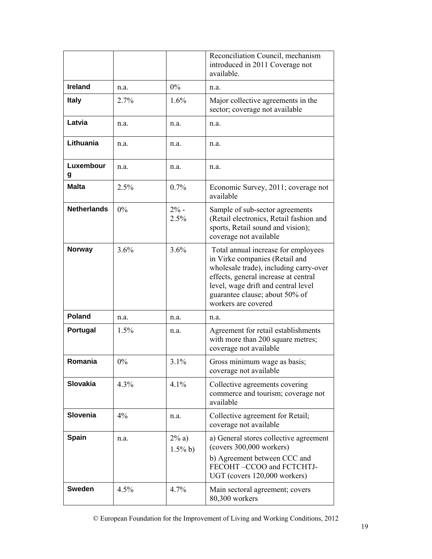|                    |       |                        | Reconciliation Council, mechanism<br>introduced in 2011 Coverage not<br>available.                                                                                                                                                                      |
|--------------------|-------|------------------------|---------------------------------------------------------------------------------------------------------------------------------------------------------------------------------------------------------------------------------------------------------|
| <b>Ireland</b>     | n.a.  | $0\%$                  | n.a.                                                                                                                                                                                                                                                    |
| <b>Italy</b>       | 2.7%  | 1.6%                   | Major collective agreements in the<br>sector; coverage not available                                                                                                                                                                                    |
| Latvia             | n.a.  | n.a.                   | n.a.                                                                                                                                                                                                                                                    |
| Lithuania          | n.a.  | n.a.                   | n.a.                                                                                                                                                                                                                                                    |
| Luxembour<br>g     | n.a.  | n.a.                   | n.a.                                                                                                                                                                                                                                                    |
| <b>Malta</b>       | 2.5%  | 0.7%                   | Economic Survey, 2011; coverage not<br>available                                                                                                                                                                                                        |
| <b>Netherlands</b> | $0\%$ | $2% -$<br>2.5%         | Sample of sub-sector agreements<br>(Retail electronics, Retail fashion and<br>sports, Retail sound and vision);<br>coverage not available                                                                                                               |
| <b>Norway</b>      | 3.6%  | 3.6%                   | Total annual increase for employees<br>in Virke companies (Retail and<br>wholesale trade), including carry-over<br>effects, general increase at central<br>level, wage drift and central level<br>guarantee clause; about 50% of<br>workers are covered |
| <b>Poland</b>      | n.a.  | n.a.                   | n.a.                                                                                                                                                                                                                                                    |
| Portugal           | 1.5%  | n.a.                   | Agreement for retail establishments<br>with more than 200 square metres;<br>coverage not available                                                                                                                                                      |
| Romania            | $0\%$ | 3.1%                   | Gross minimum wage as basis;<br>coverage not available                                                                                                                                                                                                  |
| Slovakia           | 4.3%  | 4.1%                   | Collective agreements covering<br>commerce and tourism; coverage not<br>available                                                                                                                                                                       |
| Slovenia           | 4%    | n.a.                   | Collective agreement for Retail;<br>coverage not available                                                                                                                                                                                              |
| <b>Spain</b>       | n.a.  | $2\% a)$<br>$1.5\%$ b) | a) General stores collective agreement<br>(covers 300,000 workers)<br>b) Agreement between CCC and<br>FECOHT-CCOO and FCTCHTJ-                                                                                                                          |
| <b>Sweden</b>      | 4.5%  | 4.7%                   | UGT (covers 120,000 workers)<br>Main sectoral agreement; covers<br>80,300 workers                                                                                                                                                                       |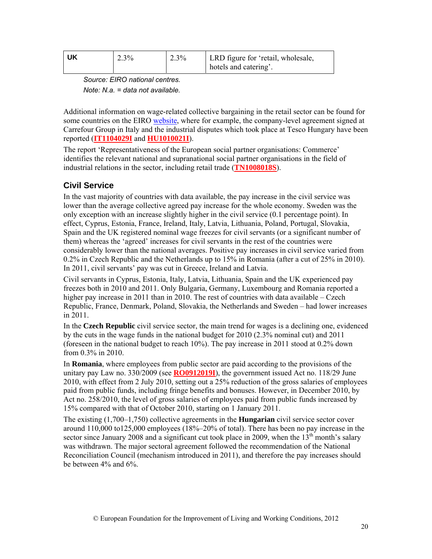| UK | 2.3% | $12.3\%$ | LRD figure for 'retail, wholesale, |
|----|------|----------|------------------------------------|
|    |      |          | hotels and catering'.              |

*Source: EIRO national centres. Note: N.a. = data not available.* 

Additional information on wage-related collective bargaining in the retail sector can be found for some countries on the EIRO website, where for example, the company-level agreement signed at Carrefour Group in Italy and the industrial disputes which took place at Tesco Hungary have been reported (**IT1104029I** and **HU1010021I**).

The report 'Representativeness of the European social partner organisations: Commerce' identifies the relevant national and supranational social partner organisations in the field of industrial relations in the sector, including retail trade (**TN1008018S**).

## **Civil Service**

In the vast majority of countries with data available, the pay increase in the civil service was lower than the average collective agreed pay increase for the whole economy. Sweden was the only exception with an increase slightly higher in the civil service (0.1 percentage point). In effect, Cyprus, Estonia, France, Ireland, Italy, Latvia, Lithuania, Poland, Portugal, Slovakia, Spain and the UK registered nominal wage freezes for civil servants (or a significant number of them) whereas the 'agreed' increases for civil servants in the rest of the countries were considerably lower than the national averages. Positive pay increases in civil service varied from 0.2% in Czech Republic and the Netherlands up to 15% in Romania (after a cut of 25% in 2010). In 2011, civil servants' pay was cut in Greece, Ireland and Latvia.

Civil servants in Cyprus, Estonia, Italy, Latvia, Lithuania, Spain and the UK experienced pay freezes both in 2010 and 2011. Only Bulgaria, Germany, Luxembourg and Romania reported a higher pay increase in 2011 than in 2010. The rest of countries with data available – Czech Republic, France, Denmark, Poland, Slovakia, the Netherlands and Sweden – had lower increases in 2011.

In the **Czech Republic** civil service sector, the main trend for wages is a declining one, evidenced by the cuts in the wage funds in the national budget for 2010 (2.3% nominal cut) and 2011 (foreseen in the national budget to reach 10%). The pay increase in 2011 stood at 0.2% down from 0.3% in 2010.

In **Romania**, where employees from public sector are paid according to the provisions of the unitary pay Law no. 330/2009 (see **RO0912019I**), the government issued Act no. 118/29 June 2010, with effect from 2 July 2010, setting out a 25% reduction of the gross salaries of employees paid from public funds, including fringe benefits and bonuses. However, in December 2010, by Act no. 258/2010, the level of gross salaries of employees paid from public funds increased by 15% compared with that of October 2010, starting on 1 January 2011.

The existing (1,700–1,750) collective agreements in the **Hungarian** civil service sector cover around  $110,000$  to  $125,000$  employees  $(18\% - 20\%$  of total). There has been no pay increase in the sector since January 2008 and a significant cut took place in 2009, when the  $13<sup>th</sup>$  month's salary was withdrawn. The major sectoral agreement followed the recommendation of the National Reconciliation Council (mechanism introduced in 2011), and therefore the pay increases should be between 4% and 6%.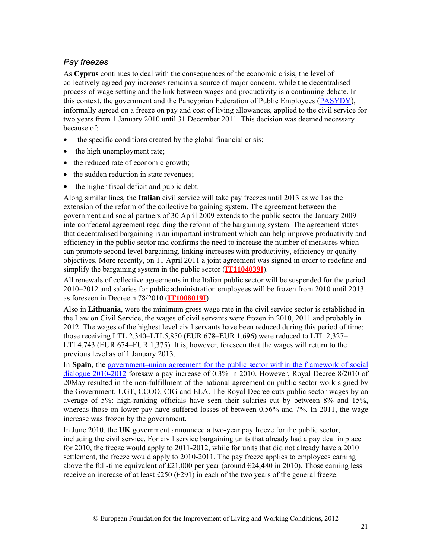#### *Pay freezes*

As **Cyprus** continues to deal with the consequences of the economic crisis, the level of collectively agreed pay increases remains a source of major concern, while the decentralised process of wage setting and the link between wages and productivity is a continuing debate. In this context, the government and the Pancyprian Federation of Public Employees (PASYDY), informally agreed on a freeze on pay and cost of living allowances, applied to the civil service for two years from 1 January 2010 until 31 December 2011. This decision was deemed necessary because of:

- the specific conditions created by the global financial crisis;
- the high unemployment rate;
- the reduced rate of economic growth;
- the sudden reduction in state revenues;
- the higher fiscal deficit and public debt.

Along similar lines, the **Italian** civil service will take pay freezes until 2013 as well as the extension of the reform of the collective bargaining system. The agreement between the government and social partners of 30 April 2009 extends to the public sector the January 2009 interconfederal agreement regarding the reform of the bargaining system. The agreement states that decentralised bargaining is an important instrument which can help improve productivity and efficiency in the public sector and confirms the need to increase the number of measures which can promote second level bargaining, linking increases with productivity, efficiency or quality objectives. More recently, on 11 April 2011 a joint agreement was signed in order to redefine and simplify the bargaining system in the public sector (**IT1104039I**).

All renewals of collective agreements in the Italian public sector will be suspended for the period 2010–2012 and salaries for public administration employees will be frozen from 2010 until 2013 as foreseen in Decree n.78/2010 (**IT1008019I**)

Also in **Lithuania**, were the minimum gross wage rate in the civil service sector is established in the Law on Civil Service, the wages of civil servants were frozen in 2010, 2011 and probably in 2012. The wages of the highest level civil servants have been reduced during this period of time: those receiving LTL 2,340–LTL5,850 (EUR 678–EUR 1,696) were reduced to LTL 2,327– LTL4,743 (EUR 674–EUR 1,375). It is, however, foreseen that the wages will return to the previous level as of 1 January 2013.

In **Spain**, the government–union agreement for the public sector within the framework of social dialogue 2010-2012 foresaw a pay increase of 0.3% in 2010. However, Royal Decree 8/2010 of 20May resulted in the non-fulfillment of the national agreement on public sector work signed by the Government, UGT, CCOO, CIG and ELA. The Royal Decree cuts public sector wages by an average of 5%: high-ranking officials have seen their salaries cut by between 8% and 15%, whereas those on lower pay have suffered losses of between 0.56% and 7%. In 2011, the wage increase was frozen by the government.

In June 2010, the **UK** government announced a two-year pay freeze for the public sector, including the civil service. For civil service bargaining units that already had a pay deal in place for 2010, the freeze would apply to 2011-2012, while for units that did not already have a 2010 settlement, the freeze would apply to 2010-2011. The pay freeze applies to employees earning above the full-time equivalent of £21,000 per year (around  $\epsilon$ 24,480 in 2010). Those earning less receive an increase of at least £250 ( $\epsilon$ 291) in each of the two years of the general freeze.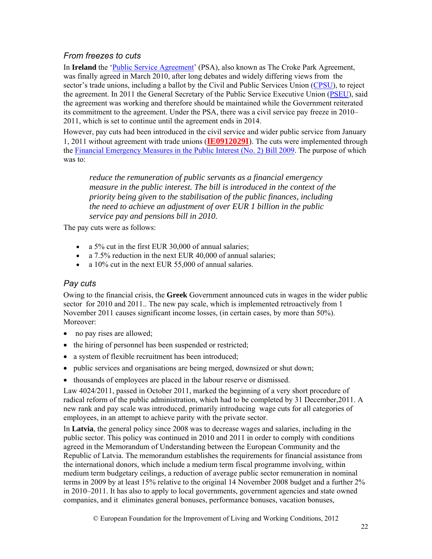## *From freezes to cuts*

In **Ireland** the '*Public Service Agreement'* (PSA), also known as The Croke Park Agreement, was finally agreed in March 2010, after long debates and widely differing views from the sector's trade unions, including a ballot by the Civil and Public Services Union (CPSU), to reject the agreement. In 2011 the General Secretary of the Public Service Executive Union (PSEU), said the agreement was working and therefore should be maintained while the Government reiterated its commitment to the agreement. Under the PSA, there was a civil service pay freeze in 2010– 2011, which is set to continue until the agreement ends in 2014.

However, pay cuts had been introduced in the civil service and wider public service from January 1, 2011 without agreement with trade unions (**IE0912029I**). The cuts were implemented through the Financial Emergency Measures in the Public Interest (No. 2) Bill 2009. The purpose of which was to:

*reduce the remuneration of public servants as a financial emergency measure in the public interest. The bill is introduced in the context of the priority being given to the stabilisation of the public finances, including the need to achieve an adjustment of over EUR 1 billion in the public service pay and pensions bill in 2010.* 

The pay cuts were as follows:

- a 5% cut in the first EUR 30,000 of annual salaries;
- a 7.5% reduction in the next EUR 40,000 of annual salaries;
- a 10% cut in the next EUR 55,000 of annual salaries.

### *Pay cuts*

Owing to the financial crisis, the **Greek** Government announced cuts in wages in the wider public sector for 2010 and 2011.. The new pay scale, which is implemented retroactively from 1 November 2011 causes significant income losses, (in certain cases, by more than 50%). Moreover:

- no pay rises are allowed;
- the hiring of personnel has been suspended or restricted;
- a system of flexible recruitment has been introduced;
- public services and organisations are being merged, downsized or shut down;
- thousands of employees are placed in the labour reserve or dismissed.

Law 4024/2011, passed in October 2011, marked the beginning of a very short procedure of radical reform of the public administration, which had to be completed by 31 December,2011. A new rank and pay scale was introduced, primarily introducing wage cuts for all categories of employees, in an attempt to achieve parity with the private sector.

In **Latvia**, the general policy since 2008 was to decrease wages and salaries, including in the public sector. This policy was continued in 2010 and 2011 in order to comply with conditions agreed in the Memorandum of Understanding between the European Community and the Republic of Latvia. The memorandum establishes the requirements for financial assistance from the international donors, which include a medium term fiscal programme involving, within medium term budgetary ceilings, a reduction of average public sector remuneration in nominal terms in 2009 by at least 15% relative to the original 14 November 2008 budget and a further 2% in 2010–2011. It has also to apply to local governments, government agencies and state owned companies, and it eliminates general bonuses, performance bonuses, vacation bonuses,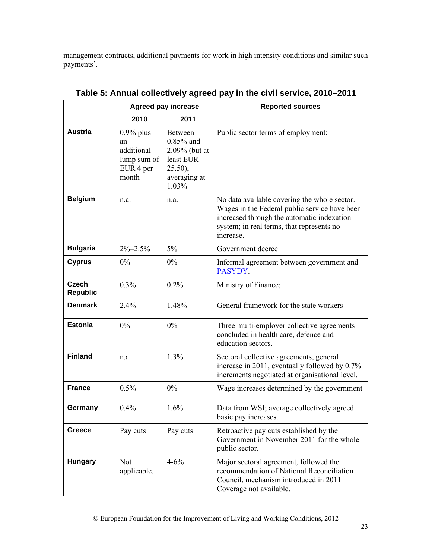management contracts, additional payments for work in high intensity conditions and similar such payments'.

|                                 | <b>Agreed pay increase</b>                                            |                                                                                              | <b>Reported sources</b>                                                                                                                                                                               |  |
|---------------------------------|-----------------------------------------------------------------------|----------------------------------------------------------------------------------------------|-------------------------------------------------------------------------------------------------------------------------------------------------------------------------------------------------------|--|
|                                 | 2010                                                                  | 2011                                                                                         |                                                                                                                                                                                                       |  |
| <b>Austria</b>                  | $0.9\%$ plus<br>an<br>additional<br>lump sum of<br>EUR 4 per<br>month | Between<br>$0.85\%$ and<br>2.09% (but at<br>least EUR<br>$25.50$ ),<br>averaging at<br>1.03% | Public sector terms of employment;                                                                                                                                                                    |  |
| <b>Belgium</b>                  | n.a.                                                                  | n.a.                                                                                         | No data available covering the whole sector.<br>Wages in the Federal public service have been<br>increased through the automatic indexation<br>system; in real terms, that represents no<br>increase. |  |
| <b>Bulgaria</b>                 | $2\% - 2.5\%$                                                         | 5%                                                                                           | Government decree                                                                                                                                                                                     |  |
| <b>Cyprus</b>                   | $0\%$                                                                 | $0\%$                                                                                        | Informal agreement between government and<br>PASYDY.                                                                                                                                                  |  |
| <b>Czech</b><br><b>Republic</b> | 0.3%                                                                  | 0.2%                                                                                         | Ministry of Finance;                                                                                                                                                                                  |  |
| <b>Denmark</b>                  | 2.4%                                                                  | 1.48%                                                                                        | General framework for the state workers                                                                                                                                                               |  |
| <b>Estonia</b>                  | $0\%$                                                                 | 0%                                                                                           | Three multi-employer collective agreements<br>concluded in health care, defence and<br>education sectors.                                                                                             |  |
| <b>Finland</b>                  | n.a.                                                                  | 1.3%                                                                                         | Sectoral collective agreements, general<br>increase in 2011, eventually followed by 0.7%<br>increments negotiated at organisational level.                                                            |  |
| <b>France</b>                   | 0.5%                                                                  | $0\%$                                                                                        | Wage increases determined by the government                                                                                                                                                           |  |
| Germany                         | 0.4%                                                                  | 1.6%                                                                                         | Data from WSI; average collectively agreed<br>basic pay increases.                                                                                                                                    |  |
| Greece                          | Pay cuts                                                              | Pay cuts                                                                                     | Retroactive pay cuts established by the<br>Government in November 2011 for the whole<br>public sector.                                                                                                |  |
| <b>Hungary</b>                  | <b>Not</b><br>applicable.                                             | $4 - 6\%$                                                                                    | Major sectoral agreement, followed the<br>recommendation of National Reconciliation<br>Council, mechanism introduced in 2011<br>Coverage not available.                                               |  |

## **Table 5: Annual collectively agreed pay in the civil service, 2010–2011**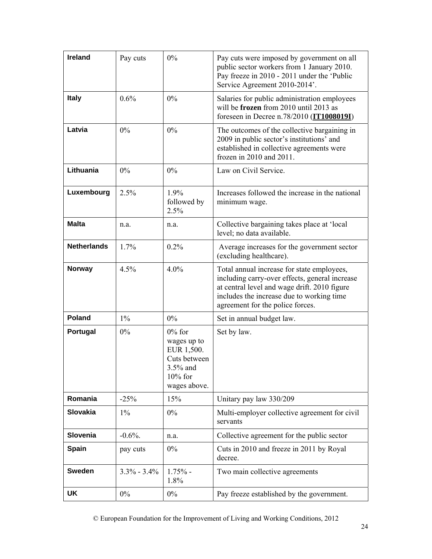| <b>Ireland</b>     | Pay cuts        | 0%                                                                                               | Pay cuts were imposed by government on all<br>public sector workers from 1 January 2010.<br>Pay freeze in 2010 - 2011 under the 'Public<br>Service Agreement 2010-2014'.                                                      |
|--------------------|-----------------|--------------------------------------------------------------------------------------------------|-------------------------------------------------------------------------------------------------------------------------------------------------------------------------------------------------------------------------------|
| <b>Italy</b>       | 0.6%            | 0%                                                                                               | Salaries for public administration employees<br>will be frozen from 2010 until 2013 as<br>foreseen in Decree n.78/2010 ( $IT1008019I$ )                                                                                       |
| Latvia             | 0%              | 0%                                                                                               | The outcomes of the collective bargaining in<br>2009 in public sector's institutions' and<br>established in collective agreements were<br>frozen in 2010 and 2011.                                                            |
| Lithuania          | 0%              | 0%                                                                                               | Law on Civil Service.                                                                                                                                                                                                         |
| Luxembourg         | 2.5%            | 1.9%<br>followed by<br>2.5%                                                                      | Increases followed the increase in the national<br>minimum wage.                                                                                                                                                              |
| <b>Malta</b>       | n.a.            | n.a.                                                                                             | Collective bargaining takes place at 'local<br>level; no data available.                                                                                                                                                      |
| <b>Netherlands</b> | 1.7%            | 0.2%                                                                                             | Average increases for the government sector<br>(excluding healthcare).                                                                                                                                                        |
| <b>Norway</b>      | 4.5%            | 4.0%                                                                                             | Total annual increase for state employees,<br>including carry-over effects, general increase<br>at central level and wage drift. 2010 figure<br>includes the increase due to working time<br>agreement for the police forces. |
| Poland             | $1\%$           | $0\%$                                                                                            | Set in annual budget law.                                                                                                                                                                                                     |
| Portugal           | 0%              | $0\%$ for<br>wages up to<br>EUR 1,500.<br>Cuts between<br>3.5% and<br>$10\%$ for<br>wages above. | Set by law.                                                                                                                                                                                                                   |
| Romania            | $-25%$          | 15%                                                                                              | Unitary pay law 330/209                                                                                                                                                                                                       |
| <b>Slovakia</b>    | $1\%$           | 0%                                                                                               | Multi-employer collective agreement for civil<br>servants                                                                                                                                                                     |
| Slovenia           | $-0.6\%$ .      | n.a.                                                                                             | Collective agreement for the public sector                                                                                                                                                                                    |
| Spain              | pay cuts        | $0\%$                                                                                            | Cuts in 2010 and freeze in 2011 by Royal<br>decree.                                                                                                                                                                           |
| <b>Sweden</b>      | $3.3\% - 3.4\%$ | $1.75%$ -<br>1.8%                                                                                | Two main collective agreements                                                                                                                                                                                                |
| UK                 | $0\%$           | $0\%$                                                                                            | Pay freeze established by the government.                                                                                                                                                                                     |

© European Foundation for the Improvement of Living and Working Conditions, 2012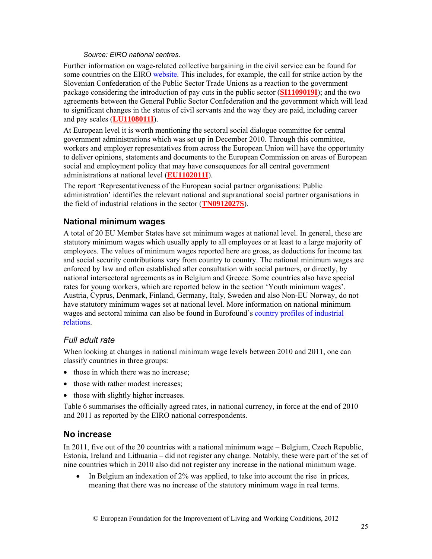#### *Source: EIRO national centres.*

Further information on wage-related collective bargaining in the civil service can be found for some countries on the EIRO website. This includes, for example, the call for strike action by the Slovenian Confederation of the Public Sector Trade Unions as a reaction to the government package considering the introduction of pay cuts in the public sector (**SI1109019I**); and the two agreements between the General Public Sector Confederation and the government which will lead to significant changes in the status of civil servants and the way they are paid, including career and pay scales (**LU1108011I**).

At European level it is worth mentioning the sectoral social dialogue committee for central government administrations which was set up in December 2010. Through this committee, workers and employer representatives from across the European Union will have the opportunity to deliver opinions, statements and documents to the European Commission on areas of European social and employment policy that may have consequences for all central government administrations at national level (**EU1102011I**).

The report 'Representativeness of the European social partner organisations: Public administration' identifies the relevant national and supranational social partner organisations in the field of industrial relations in the sector (**TN0912027S**).

## **National minimum wages**

A total of 20 EU Member States have set minimum wages at national level. In general, these are statutory minimum wages which usually apply to all employees or at least to a large majority of employees. The values of minimum wages reported here are gross, as deductions for income tax and social security contributions vary from country to country. The national minimum wages are enforced by law and often established after consultation with social partners, or directly, by national intersectoral agreements as in Belgium and Greece. Some countries also have special rates for young workers, which are reported below in the section 'Youth minimum wages'. Austria, Cyprus, Denmark, Finland, Germany, Italy, Sweden and also Non-EU Norway, do not have statutory minimum wages set at national level. More information on national minimum wages and sectoral minima can also be found in Eurofound's country profiles of industrial relations.

#### *Full adult rate*

When looking at changes in national minimum wage levels between 2010 and 2011, one can classify countries in three groups:

- those in which there was no increase;
- those with rather modest increases;
- those with slightly higher increases.

Table 6 summarises the officially agreed rates, in national currency, in force at the end of 2010 and 2011 as reported by the EIRO national correspondents.

## **No increase**

In 2011, five out of the 20 countries with a national minimum wage – Belgium, Czech Republic, Estonia, Ireland and Lithuania – did not register any change. Notably, these were part of the set of nine countries which in 2010 also did not register any increase in the national minimum wage.

• In Belgium an indexation of 2% was applied, to take into account the rise in prices, meaning that there was no increase of the statutory minimum wage in real terms.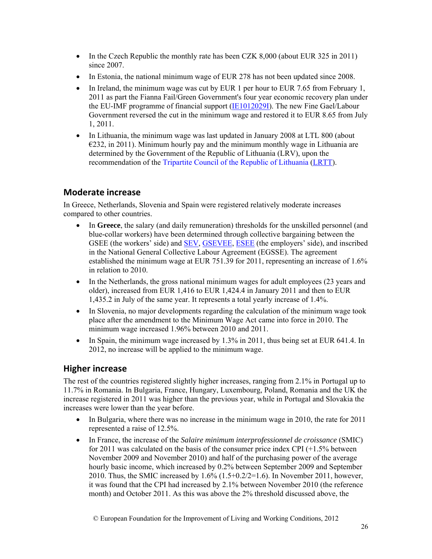- In the Czech Republic the monthly rate has been CZK 8,000 (about EUR 325 in 2011) since 2007.
- In Estonia, the national minimum wage of EUR 278 has not been updated since 2008.
- In Ireland, the minimum wage was cut by EUR 1 per hour to EUR 7.65 from February 1, 2011 as part the Fianna Fail/Green Government's four year economic recovery plan under the EU-IMF programme of financial support (IE1012029I). The new Fine Gael/Labour Government reversed the cut in the minimum wage and restored it to EUR 8.65 from July 1, 2011.
- In Lithuania, the minimum wage was last updated in January 2008 at LTL 800 (about  $\epsilon$ 232, in 2011). Minimum hourly pay and the minimum monthly wage in Lithuania are determined by the Government of the Republic of Lithuania (LRV), upon the recommendation of the Tripartite Council of the Republic of Lithuania (LRTT).

## **Moderate increase**

In Greece, Netherlands, Slovenia and Spain were registered relatively moderate increases compared to other countries.

- In Greece, the salary (and daily remuneration) thresholds for the unskilled personnel (and blue-collar workers) have been determined through collective bargaining between the GSEE (the workers' side) and **SEV, GSEVEE, ESEE** (the employers' side), and inscribed in the National General Collective Labour Agreement (EGSSE). The agreement established the minimum wage at EUR 751.39 for 2011, representing an increase of 1.6% in relation to 2010.
- In the Netherlands, the gross national minimum wages for adult employees (23 years and older), increased from EUR 1,416 to EUR 1,424.4 in January 2011 and then to EUR 1,435.2 in July of the same year. It represents a total yearly increase of 1.4%.
- In Slovenia, no major developments regarding the calculation of the minimum wage took place after the amendment to the Minimum Wage Act came into force in 2010. The minimum wage increased 1.96% between 2010 and 2011.
- In Spain, the minimum wage increased by  $1.3\%$  in 2011, thus being set at EUR 641.4. In 2012, no increase will be applied to the minimum wage.

## **Higher increase**

The rest of the countries registered slightly higher increases, ranging from 2.1% in Portugal up to 11.7% in Romania. In Bulgaria, France, Hungary, Luxembourg, Poland, Romania and the UK the increase registered in 2011 was higher than the previous year, while in Portugal and Slovakia the increases were lower than the year before.

- In Bulgaria, where there was no increase in the minimum wage in 2010, the rate for 2011 represented a raise of 12.5%.
- In France, the increase of the *Salaire minimum interprofessionnel de croissance* (SMIC) for 2011 was calculated on the basis of the consumer price index CPI (+1.5% between November 2009 and November 2010) and half of the purchasing power of the average hourly basic income, which increased by 0.2% between September 2009 and September 2010. Thus, the SMIC increased by  $1.6\%$  (1.5+0.2/2=1.6). In November 2011, however, it was found that the CPI had increased by 2.1% between November 2010 (the reference month) and October 2011. As this was above the 2% threshold discussed above, the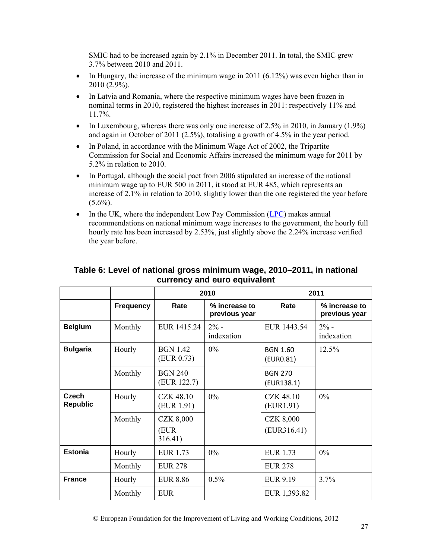SMIC had to be increased again by 2.1% in December 2011. In total, the SMIC grew 3.7% between 2010 and 2011.

- In Hungary, the increase of the minimum wage in 2011  $(6.12\%)$  was even higher than in 2010 (2.9%).
- In Latvia and Romania, where the respective minimum wages have been frozen in nominal terms in 2010, registered the highest increases in 2011: respectively 11% and 11.7%.
- In Luxembourg, whereas there was only one increase of 2.5% in 2010, in January  $(1.9\%)$ and again in October of 2011 (2.5%), totalising a growth of 4.5% in the year period.
- In Poland, in accordance with the Minimum Wage Act of 2002, the Tripartite Commission for Social and Economic Affairs increased the minimum wage for 2011 by 5.2% in relation to 2010.
- In Portugal, although the social pact from 2006 stipulated an increase of the national minimum wage up to EUR 500 in 2011, it stood at EUR 485, which represents an increase of 2.1% in relation to 2010, slightly lower than the one registered the year before  $(5.6\%)$ .
- In the UK, where the independent Low Pay Commission (LPC) makes annual recommendations on national minimum wage increases to the government, the hourly full hourly rate has been increased by 2.53%, just slightly above the 2.24% increase verified the year before.

|                          |                  |                                      | 2010                           | 2011                            |                                |
|--------------------------|------------------|--------------------------------------|--------------------------------|---------------------------------|--------------------------------|
|                          | <b>Frequency</b> | Rate                                 | % increase to<br>previous year | Rate                            | % increase to<br>previous year |
| <b>Belgium</b>           | Monthly          | EUR 1415.24                          | $2\%$ -<br>indexation          | EUR 1443.54                     | $2% -$<br>indexation           |
| <b>Bulgaria</b>          | Hourly           | <b>BGN 1.42</b><br>(EUR 0.73)        | $0\%$                          | <b>BGN 1.60</b><br>(EURO.81)    | 12.5%                          |
|                          | Monthly          | <b>BGN 240</b><br>(EUR 122.7)        |                                | <b>BGN 270</b><br>(EUR138.1)    |                                |
| Czech<br><b>Republic</b> | Hourly           | <b>CZK 48.10</b><br>(EUR 1.91)       | $0\%$                          | <b>CZK 48.10</b><br>(EURI.91)   | $0\%$                          |
|                          | Monthly          | <b>CZK 8,000</b><br>(EUR)<br>316.41) |                                | <b>CZK 8,000</b><br>(EUR316.41) |                                |
| <b>Estonia</b>           | Hourly           | <b>EUR 1.73</b>                      | $0\%$                          | <b>EUR 1.73</b>                 | $0\%$                          |
|                          | Monthly          | <b>EUR 278</b>                       |                                | <b>EUR 278</b>                  |                                |
| <b>France</b>            | Hourly           | <b>EUR 8.86</b>                      | 0.5%                           | <b>EUR 9.19</b>                 | 3.7%                           |
|                          | Monthly          | <b>EUR</b>                           |                                | EUR 1,393.82                    |                                |

#### **Table 6: Level of national gross minimum wage, 2010–2011, in national currency and euro equivalent**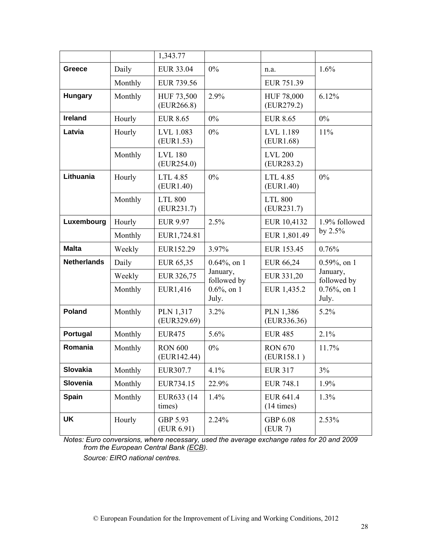|                    |         | 1,343.77                      |                         |                                   |                          |
|--------------------|---------|-------------------------------|-------------------------|-----------------------------------|--------------------------|
| Greece             | Daily   | <b>EUR 33.04</b>              | $0\%$                   | n.a.                              | 1.6%                     |
|                    | Monthly | EUR 739.56                    |                         | EUR 751.39                        |                          |
| <b>Hungary</b>     | Monthly | HUF 73,500<br>(EUR266.8)      | 2.9%                    | HUF 78,000<br>(EUR279.2)          | 6.12%                    |
| <b>Ireland</b>     | Hourly  | <b>EUR 8.65</b>               | $0\%$                   | <b>EUR 8.65</b>                   | $0\%$                    |
| Latvia             | Hourly  | LVL 1.083<br>(EUR1.53)        | $0\%$                   | LVL 1.189<br>(EUR1.68)            | 11%                      |
|                    | Monthly | <b>LVL 180</b><br>(EUR254.0)  |                         | <b>LVL 200</b><br>(EUR283.2)      |                          |
| Lithuania          | Hourly  | LTL 4.85<br>(EUR1.40)         | $0\%$                   | LTL 4.85<br>(EURI.40)             | 0%                       |
|                    | Monthly | <b>LTL 800</b><br>(EUR231.7)  |                         | <b>LTL 800</b><br>(EUR231.7)      |                          |
| Luxembourg         | Hourly  | <b>EUR 9.97</b>               | 2.5%                    | EUR 10,4132                       | 1.9% followed            |
|                    | Monthly | EUR1,724.81                   |                         | EUR 1,801.49                      | by $2.5%$                |
| <b>Malta</b>       | Weekly  | EUR152.29                     | 3.97%                   | EUR 153.45                        | 0.76%                    |
| <b>Netherlands</b> | Daily   | EUR 65,35                     | $0.64\%$ , on 1         | EUR 66,24                         | $0.59\%$ , on 1          |
|                    | Weekly  | EUR 326,75                    | January,<br>followed by | EUR 331,20                        | January,<br>followed by  |
|                    | Monthly | EUR1,416                      | $0.6\%$ , on 1<br>July. | EUR 1,435.2                       | $0.76\%$ , on 1<br>July. |
| <b>Poland</b>      | Monthly | PLN 1,317<br>(EUR329.69)      | 3.2%                    | PLN 1,386<br>(EUR336.36)          | 5.2%                     |
| Portugal           | Monthly | <b>EUR475</b>                 | 5.6%                    | <b>EUR 485</b>                    | 2.1%                     |
| Romania            | Monthly | <b>RON 600</b><br>(EUR142.44) | $0\%$                   | <b>RON 670</b><br>(EUR158.1)      | 11.7%                    |
| Slovakia           | Monthly | EUR307.7                      | 4.1%                    | <b>EUR 317</b>                    | 3%                       |
| Slovenia           | Monthly | EUR734.15                     | 22.9%                   | <b>EUR 748.1</b>                  | 1.9%                     |
| <b>Spain</b>       | Monthly | EUR633 (14)<br>times)         | 1.4%                    | EUR 641.4<br>$(14 \text{ times})$ | 1.3%                     |
| <b>UK</b>          | Hourly  | GBP 5.93<br>(EUR 6.91)        | 2.24%                   | GBP 6.08<br>(EUR 7)               | 2.53%                    |

*Notes: Euro conversions, where necessary, used the average exchange rates for 20 and 2009 from the European Central Bank (ECB).* 

*Source: EIRO national centres.*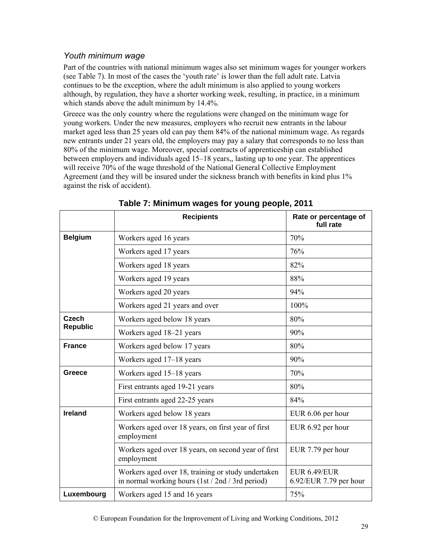## *Youth minimum wage*

Part of the countries with national minimum wages also set minimum wages for younger workers (see Table 7). In most of the cases the 'youth rate' is lower than the full adult rate. Latvia continues to be the exception, where the adult minimum is also applied to young workers although, by regulation, they have a shorter working week, resulting, in practice, in a minimum which stands above the adult minimum by 14.4%.

Greece was the only country where the regulations were changed on the minimum wage for young workers. Under the new measures, employers who recruit new entrants in the labour market aged less than 25 years old can pay them 84% of the national minimum wage. As regards new entrants under 21 years old, the employers may pay a salary that corresponds to no less than 80% of the minimum wage. Moreover, special contracts of apprenticeship can established between employers and individuals aged 15–18 years,, lasting up to one year. The apprentices will receive 70% of the wage threshold of the National General Collective Employment Agreement (and they will be insured under the sickness branch with benefits in kind plus 1% against the risk of accident).

|                          | <b>Recipients</b>                                                                                      | Rate or percentage of<br>full rate            |
|--------------------------|--------------------------------------------------------------------------------------------------------|-----------------------------------------------|
| <b>Belgium</b>           | Workers aged 16 years                                                                                  | 70%                                           |
|                          | Workers aged 17 years                                                                                  | 76%                                           |
|                          | Workers aged 18 years                                                                                  | 82%                                           |
|                          | Workers aged 19 years                                                                                  | 88%                                           |
|                          | Workers aged 20 years                                                                                  | 94%                                           |
|                          | Workers aged 21 years and over                                                                         | 100%                                          |
| Czech<br><b>Republic</b> | Workers aged below 18 years                                                                            | 80%                                           |
|                          | Workers aged 18-21 years                                                                               | 90%                                           |
| <b>France</b>            | Workers aged below 17 years                                                                            | 80%                                           |
|                          | Workers aged 17-18 years                                                                               | 90%                                           |
| Greece                   | Workers aged 15–18 years                                                                               | 70%                                           |
|                          | First entrants aged 19-21 years                                                                        | 80%                                           |
|                          | First entrants aged 22-25 years                                                                        | 84%                                           |
| <b>Ireland</b>           | Workers aged below 18 years                                                                            | EUR 6.06 per hour                             |
|                          | Workers aged over 18 years, on first year of first<br>employment                                       | EUR 6.92 per hour                             |
|                          | Workers aged over 18 years, on second year of first<br>employment                                      | EUR 7.79 per hour                             |
|                          | Workers aged over 18, training or study undertaken<br>in normal working hours (1st / 2nd / 3rd period) | <b>EUR 6.49/EUR</b><br>6.92/EUR 7.79 per hour |
| Luxembourg               | Workers aged 15 and 16 years                                                                           | 75%                                           |

#### **Table 7: Minimum wages for young people, 2011**

© European Foundation for the Improvement of Living and Working Conditions, 2012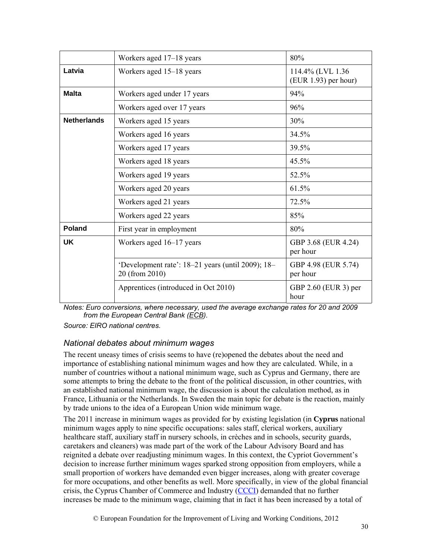|                    | Workers aged 17–18 years                                            | 80%                                        |
|--------------------|---------------------------------------------------------------------|--------------------------------------------|
| Latvia             | Workers aged 15–18 years                                            | 114.4% (LVL 1.36<br>$(EUR 1.93)$ per hour) |
| <b>Malta</b>       | Workers aged under 17 years                                         | 94%                                        |
|                    | Workers aged over 17 years                                          | 96%                                        |
| <b>Netherlands</b> | Workers aged 15 years                                               | 30%                                        |
|                    | Workers aged 16 years                                               | 34.5%                                      |
|                    | Workers aged 17 years                                               | 39.5%                                      |
|                    | Workers aged 18 years                                               | 45.5%                                      |
|                    | Workers aged 19 years                                               | 52.5%                                      |
|                    | Workers aged 20 years                                               | 61.5%                                      |
|                    | Workers aged 21 years                                               | 72.5%                                      |
|                    | Workers aged 22 years                                               | 85%                                        |
| Poland             | First year in employment                                            | 80%                                        |
| UK                 | Workers aged 16–17 years                                            | GBP 3.68 (EUR 4.24)<br>per hour            |
|                    | 'Development rate': 18–21 years (until 2009); 18–<br>20 (from 2010) | GBP 4.98 (EUR 5.74)<br>per hour            |
|                    | Apprentices (introduced in Oct 2010)                                | GBP 2.60 (EUR 3) per<br>hour               |

*Notes: Euro conversions, where necessary, used the average exchange rates for 20 and 2009 from the European Central Bank (ECB).* 

*Source: EIRO national centres.* 

#### *National debates about minimum wages*

The recent uneasy times of crisis seems to have (re)opened the debates about the need and importance of establishing national minimum wages and how they are calculated. While, in a number of countries without a national minimum wage, such as Cyprus and Germany, there are some attempts to bring the debate to the front of the political discussion, in other countries, with an established national minimum wage, the discussion is about the calculation method, as in France, Lithuania or the Netherlands. In Sweden the main topic for debate is the reaction, mainly by trade unions to the idea of a European Union wide minimum wage.

The 2011 increase in minimum wages as provided for by existing legislation (in **Cyprus** national minimum wages apply to nine specific occupations: sales staff, clerical workers, auxiliary healthcare staff, auxiliary staff in nursery schools, in crèches and in schools, security guards, caretakers and cleaners) was made part of the work of the Labour Advisory Board and has reignited a debate over readjusting minimum wages. In this context, the Cypriot Government's decision to increase further minimum wages sparked strong opposition from employers, while a small proportion of workers have demanded even bigger increases, along with greater coverage for more occupations, and other benefits as well. More specifically, in view of the global financial crisis, the Cyprus Chamber of Commerce and Industry (CCCI) demanded that no further increases be made to the minimum wage, claiming that in fact it has been increased by a total of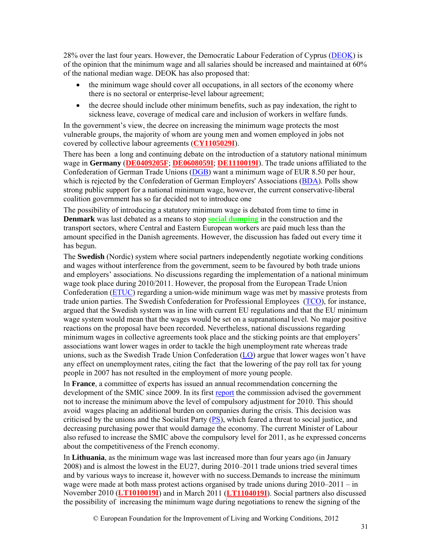28% over the last four years. However, the Democratic Labour Federation of Cyprus (DEOK) is of the opinion that the minimum wage and all salaries should be increased and maintained at 60% of the national median wage. DEOK has also proposed that:

- the minimum wage should cover all occupations, in all sectors of the economy where there is no sectoral or enterprise-level labour agreement;
- the decree should include other minimum benefits, such as pay indexation, the right to sickness leave, coverage of medical care and inclusion of workers in welfare funds.

In the government's view, the decree on increasing the minimum wage protects the most vulnerable groups, the majority of whom are young men and women employed in jobs not covered by collective labour agreements (**CY1105029I**).

There has been a long and continuing debate on the introduction of a statutory national minimum wage in **Germany** (**DE0409205F**; **DE0608059I**; **DE1110019I**). The trade unions affiliated to the Confederation of German Trade Unions (DGB) want a minimum wage of EUR 8.50 per hour, which is rejected by the Confederation of German Employers' Associations *(BDA)*. Polls show strong public support for a national minimum wage, however, the current conservative-liberal coalition government has so far decided not to introduce one

The possibility of introducing a statutory minimum wage is debated from time to time in **Denmark** was last debated as a means to stop **social dumping** in the construction and the transport sectors, where Central and Eastern European workers are paid much less than the amount specified in the Danish agreements. However, the discussion has faded out every time it has begun.

The **Swedish** (Nordic) system where social partners independently negotiate working conditions and wages without interference from the government, seem to be favoured by both trade unions and employers' associations. No discussions regarding the implementation of a national minimum wage took place during 2010/2011. However, the proposal from the European Trade Union Confederation (ETUC) regarding a union-wide minimum wage was met by massive protests from trade union parties. The Swedish Confederation for Professional Employees (TCO), for instance, argued that the Swedish system was in line with current EU regulations and that the EU minimum wage system would mean that the wages would be set on a supranational level. No major positive reactions on the proposal have been recorded. Nevertheless, national discussions regarding minimum wages in collective agreements took place and the sticking points are that employers' associations want lower wages in order to tackle the high unemployment rate whereas trade unions, such as the Swedish Trade Union Confederation (LO) argue that lower wages won't have any effect on unemployment rates, citing the fact that the lowering of the pay roll tax for young people in 2007 has not resulted in the employment of more young people.

In **France**, a committee of experts has issued an annual recommendation concerning the development of the SMIC since 2009. In its first report the commission advised the government not to increase the minimum above the level of compulsory adjustment for 2010. This should avoid wages placing an additional burden on companies during the crisis. This decision was criticised by the unions and the Socialist Party (PS), which feared a threat to social justice, and decreasing purchasing power that would damage the economy. The current Minister of Labour also refused to increase the SMIC above the compulsory level for 2011, as he expressed concerns about the competitiveness of the French economy.

In **Lithuania**, as the minimum wage was last increased more than four years ago (in January 2008) and is almost the lowest in the EU27, during 2010–2011 trade unions tried several times and by various ways to increase it, however with no success.Demands to increase the minimum wage were made at both mass protest actions organised by trade unions during  $2010-2011 - in$ November 2010 (**LT1010019I**) and in March 2011 (**LT1104019I**). Social partners also discussed the possibility of increasing the minimum wage during negotiations to renew the signing of the

© European Foundation for the Improvement of Living and Working Conditions, 2012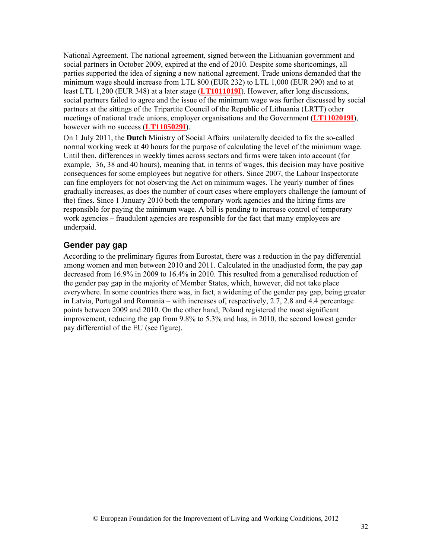National Agreement. The national agreement, signed between the Lithuanian government and social partners in October 2009, expired at the end of 2010. Despite some shortcomings, all parties supported the idea of signing a new national agreement. Trade unions demanded that the minimum wage should increase from LTL 800 (EUR 232) to LTL 1,000 (EUR 290) and to at least LTL 1,200 (EUR 348) at a later stage (**LT1011019I**). However, after long discussions, social partners failed to agree and the issue of the minimum wage was further discussed by social partners at the sittings of the Tripartite Council of the Republic of Lithuania (LRTT) other meetings of national trade unions, employer organisations and the Government (**LT1102019I**), however with no success (**LT1105029I**).

On 1 July 2011, the **Dutch** Ministry of Social Affairs unilaterally decided to fix the so-called normal working week at 40 hours for the purpose of calculating the level of the minimum wage. Until then, differences in weekly times across sectors and firms were taken into account (for example, 36, 38 and 40 hours), meaning that, in terms of wages, this decision may have positive consequences for some employees but negative for others. Since 2007, the Labour Inspectorate can fine employers for not observing the Act on minimum wages. The yearly number of fines gradually increases, as does the number of court cases where employers challenge the (amount of the) fines. Since 1 January 2010 both the temporary work agencies and the hiring firms are responsible for paying the minimum wage. A bill is pending to increase control of temporary work agencies – fraudulent agencies are responsible for the fact that many employees are underpaid.

#### **Gender pay gap**

According to the preliminary figures from Eurostat, there was a reduction in the pay differential among women and men between 2010 and 2011. Calculated in the unadjusted form, the pay gap decreased from 16.9% in 2009 to 16.4% in 2010. This resulted from a generalised reduction of the gender pay gap in the majority of Member States, which, however, did not take place everywhere. In some countries there was, in fact, a widening of the gender pay gap, being greater in Latvia, Portugal and Romania – with increases of, respectively, 2.7, 2.8 and 4.4 percentage points between 2009 and 2010. On the other hand, Poland registered the most significant improvement, reducing the gap from 9.8% to 5.3% and has, in 2010, the second lowest gender pay differential of the EU (see figure).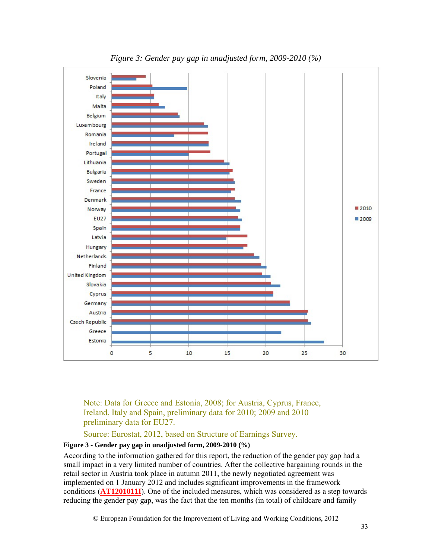

Note: Data for Greece and Estonia, 2008; for Austria, Cyprus, France, Ireland, Italy and Spain, preliminary data for 2010; 2009 and 2010 preliminary data for EU27.

Source: Eurostat, 2012, based on Structure of Earnings Survey.

#### **Figure 3 - Gender pay gap in unadjusted form, 2009-2010 (%)**

According to the information gathered for this report, the reduction of the gender pay gap had a small impact in a very limited number of countries. After the collective bargaining rounds in the retail sector in Austria took place in autumn 2011, the newly negotiated agreement was implemented on 1 January 2012 and includes significant improvements in the framework conditions (**AT1201011I**). One of the included measures, which was considered as a step towards reducing the gender pay gap, was the fact that the ten months (in total) of childcare and family

© European Foundation for the Improvement of Living and Working Conditions, 2012